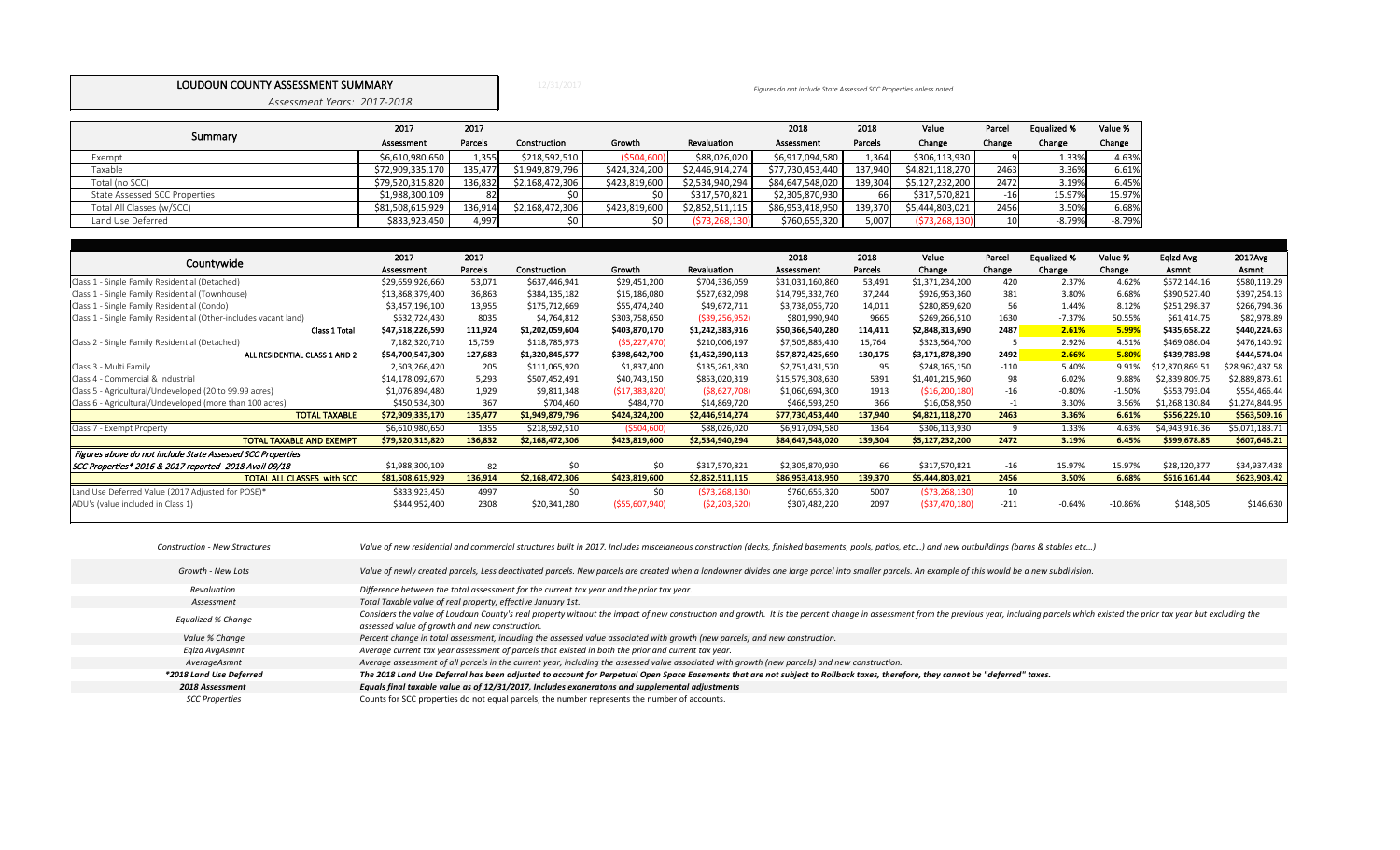12/31/2017

*Assessment Years: 2017-2018*

|                               | 2017             | 2017    |                 |               |                 | 2018             | 2018    | Value           | Parcel          | Equalized % | Value %  |
|-------------------------------|------------------|---------|-----------------|---------------|-----------------|------------------|---------|-----------------|-----------------|-------------|----------|
| Summary                       | Assessment       | Parcels | Construction    | Growth        | Revaluation     | Assessment       | Parcels | Change          | Change          | Change      | Change   |
| Exempt                        | \$6,610,980,650  | 1,355   | \$218,592,510   | ( \$504, 600) | \$88,026,020    | \$6,917,094,580  | 1,364   | \$306,113,930   |                 | 1.33%       | 4.63%    |
| Taxable                       | \$72,909,335,170 | 135,477 | \$1,949,879,796 | \$424,324,200 | \$2,446,914,274 | \$77,730,453,440 | 137,940 | \$4,821,118,270 | 2463            | 3.36%       | 6.61%    |
| Total (no SCC)                | \$79,520,315,820 | 136,832 | \$2,168,472,306 | \$423,819,600 | \$2,534,940,294 | \$84,647,548,020 | 139,304 | \$5,127,232,200 | 2472            | 3.19%       | 6.45%    |
| State Assessed SCC Properties | \$1,988,300,109  |         |                 | \$0           | \$317,570,821   | \$2,305,870,930  | 66      | \$317,570,821   | $-16$           | 15.97%      | 15.97%   |
| Total All Classes (w/SCC)     | \$81,508,615,929 | 136,914 | \$2,168,472,306 | \$423,819,600 | \$2,852,511,115 | \$86,953,418,950 | 139,370 | \$5,444,803,021 | 2456            | 3.50%       | 6.68%    |
| Land Use Deferred             | \$833,923,450    | 4,997   |                 | \$0           | (573, 268, 130) | \$760,655,320    | 5,007   | (573, 268, 130) | 10 <sup>1</sup> | $-8.79%$    | $-8.79%$ |

|                                                                  | 2017             | 2017    |                 |                 |                 | 2018             | 2018    | Value           | Parcel          | <b>Equalized %</b> | Value %   | Eqlzd Avg       | 2017Avg         |
|------------------------------------------------------------------|------------------|---------|-----------------|-----------------|-----------------|------------------|---------|-----------------|-----------------|--------------------|-----------|-----------------|-----------------|
| Countywide                                                       | Assessment       | Parcels | Construction    | Growth          | Revaluation     | Assessment       | Parcels | Change          | Change          | Change             | Change    | Asmnt           | Asmnt           |
| Class 1 - Single Family Residential (Detached)                   | \$29,659,926,660 | 53,071  | \$637,446,941   | \$29,451,200    | \$704,336,059   | \$31,031,160,860 | 53,491  | \$1,371,234,200 | 420             | 2.37%              | 4.62%     | \$572,144.16    | \$580,119.29    |
| Class 1 - Single Family Residential (Townhouse)                  | \$13,868,379,400 | 36,863  | \$384,135,182   | \$15,186,080    | \$527,632,098   | \$14,795,332,760 | 37,244  | \$926,953,360   | 381             | 3.80%              | 6.68%     | \$390,527.40    | \$397,254.13    |
| Class 1 - Single Family Residential (Condo)                      | \$3,457,196,100  | 13,955  | \$175,712,669   | \$55,474,240    | \$49,672,711    | \$3,738,055,720  | 14,011  | \$280,859,620   | 56              | 1.44%              | 8.12%     | \$251,298.37    | \$266,794.36    |
| Class 1 - Single Family Residential (Other-includes vacant land) | \$532,724,430    | 8035    | \$4,764,812     | \$303,758,650   | (539, 256, 952) | \$801,990,940    | 9665    | \$269,266,510   | 1630            | $-7.37%$           | 50.55%    | \$61,414.75     | \$82,978.89     |
| Class 1 Total                                                    | \$47,518,226,590 | 111,924 | \$1,202,059,604 | \$403,870,170   | \$1,242,383,916 | \$50,366,540,280 | 114,411 | \$2,848,313,690 | 2487            | 2.61%              | 5.99%     | \$435,658.22    | \$440,224.63    |
| Class 2 - Single Family Residential (Detached)                   | 7,182,320,710    | 15,759  | \$118,785,973   | (55, 227, 470)  | \$210,006,197   | \$7,505,885,410  | 15,764  | \$323,564,700   |                 | 2.92%              | 4.51%     | \$469,086.04    | \$476,140.92    |
| ALL RESIDENTIAL CLASS 1 AND 2                                    | \$54,700,547,300 | 127,683 | \$1,320,845,577 | \$398,642,700   | \$1,452,390,113 | \$57,872,425,690 | 130,175 | \$3,171,878,390 | <b>2492</b>     | 2.66%              | 5.80%     | \$439,783.98    | \$444,574.04    |
| Class 3 - Multi Family                                           | 2,503,266,420    | 205     | \$111,065,920   | \$1,837,400     | \$135,261,830   | \$2,751,431,570  | 95      | \$248,165,150   | $-110$          | 5.40%              | 9.91%     | \$12,870,869.51 | \$28,962,437.58 |
| Class 4 - Commercial & Industrial                                | \$14,178,092,670 | 5,293   | \$507,452,491   | \$40,743,150    | \$853,020,319   | \$15,579,308,630 | 5391    | \$1,401,215,960 | 98              | 6.02%              | 9.88%     | \$2,839,809.75  | \$2,889,873.61  |
| Class 5 - Agricultural/Undeveloped (20 to 99.99 acres)           | \$1,076,894,480  | 1,929   | \$9,811,348     | (517, 383, 820) | ( \$8,627,708)  | \$1,060,694,300  | 1913    | (516, 200, 180) | $-16$           | $-0.80%$           | $-1.50%$  | \$553,793.04    | \$554,466.44    |
| Class 6 - Agricultural/Undeveloped (more than 100 acres)         | \$450,534,300    | 367     | \$704,460       | \$484,770       | \$14,869,720    | \$466,593,250    | 366     | \$16,058,950    |                 | 3.30%              | 3.56%     | \$1,268,130.84  | \$1,274,844.95  |
| <b>TOTAL TAXABLE</b>                                             | \$72,909,335,170 | 135,477 | \$1,949,879,796 | \$424,324,200   | \$2,446,914,274 | \$77,730,453,440 | 137,940 | \$4,821,118,270 | 2463            | 3.36%              | 6.61%     | \$556,229.10    | \$563,509.16    |
| Class 7 - Exempt Property                                        | \$6,610,980,650  | 1355    | \$218,592,510   | ( \$504, 600)   | \$88,026,020    | \$6,917,094,580  | 1364    | \$306,113,930   | 9               | 1.33%              | 4.63%     | \$4,943,916.36  | \$5,071,183.71  |
| <b>TOTAL TAXABLE AND EXEMPT</b>                                  | \$79,520,315,820 | 136,832 | \$2,168,472,306 | \$423,819,600   | \$2,534,940,294 | \$84,647,548,020 | 139,304 | \$5,127,232,200 | 2472            | 3.19%              | 6.45%     | \$599,678.85    | \$607,646.21    |
| Figures above do not include State Assessed SCC Properties       |                  |         |                 |                 |                 |                  |         |                 |                 |                    |           |                 |                 |
| SCC Properties* 2016 & 2017 reported -2018 Avail 09/18           | \$1,988,300,109  | 82      | \$0             | \$0             | \$317,570,821   | \$2,305,870,930  | 66      | \$317,570,821   | $-16$           | 15.97%             | 15.97%    | \$28,120,377    | \$34,937,438    |
| <b>TOTAL ALL CLASSES with SCC</b>                                | \$81,508,615,929 | 136,914 | \$2,168,472,306 | \$423,819,600   | \$2,852,511,115 | \$86,953,418,950 | 139,370 | \$5,444,803,021 | 2456            | 3.50%              | 6.68%     | \$616,161.44    | \$623,903.42    |
| Land Use Deferred Value (2017 Adjusted for POSE)*                | \$833,923,450    | 4997    | \$0             | \$0             | (573, 268, 130) | \$760,655,320    | 5007    | (573, 268, 130) | 10 <sub>1</sub> |                    |           |                 |                 |
| ADU's (value included in Class 1)                                | \$344,952,400    | 2308    | \$20,341,280    | ( \$55,607,940) | (52, 203, 520)  | \$307,482,220    | 2097    | ( \$37,470,180) | $-211$          | $-0.64%$           | $-10.86%$ | \$148,505       | \$146,630       |

## LOUDOUN COUNTY ASSESSMENT SUMMARY *Figures do not include State Assessed SCC Properties unless noted*

| <b>Construction - New Structures</b> | Value of new residential and commercial structures built in 2017. Includes miscelaneous construction (deci |
|--------------------------------------|------------------------------------------------------------------------------------------------------------|
| Growth - New Lots                    | Value of newly created parcels, Less deactivated parcels. New parcels are created when a landowner divid   |
| Revaluation                          | Difference between the total assessment for the current tax year and the prior tax year.                   |
| Assessment                           | Total Taxable value of real property, effective January 1st.                                               |
| Equalized % Change                   | Considers the value of Loudoun County's real property without the impact of new construction and growth    |
|                                      | assessed value of growth and new construction.                                                             |
| Value % Change                       | Percent change in total assessment, including the assessed value associated with growth (new parcels) an   |
| Eglzd AvgAsmnt                       | Average current tax year assessment of parcels that existed in both the prior and current tax year.        |
| AverageAsmnt                         | Average assessment of all parcels in the current year, including the assessed value associated with growth |
| *2018 Land Use Deferred              | The 2018 Land Use Deferral has been adjusted to account for Perpetual Open Space Easements that are        |
| 2018 Assessment                      | Equals final taxable value as of 12/31/2017, Includes exoneratons and supplemental adjustments             |
| <b>SCC Properties</b>                | Counts for SCC properties do not equal parcels, the number represents the number of accounts.              |

cks, finished basements, pools, patios, etc...) and new outbuildings (barns & stables etc...)

des one large parcel into smaller parcels. An example of this would be a new subdivision.

h. It is the percent change in assessment from the previous year, including parcels which existed the prior tax year but excluding the

*Percent change in total assessment, including the assessed value associated with growth (new parcels) and new construction.*

*Average assessment of all parcels in the current year, including the assessed value associated with growth (new parcels) and new construction. The 2018 Land Use Deferral has been adjusted to account for Perpetual Open Space Easements that are not subject to Rollback taxes, therefore, they cannot be "deferred" taxes.*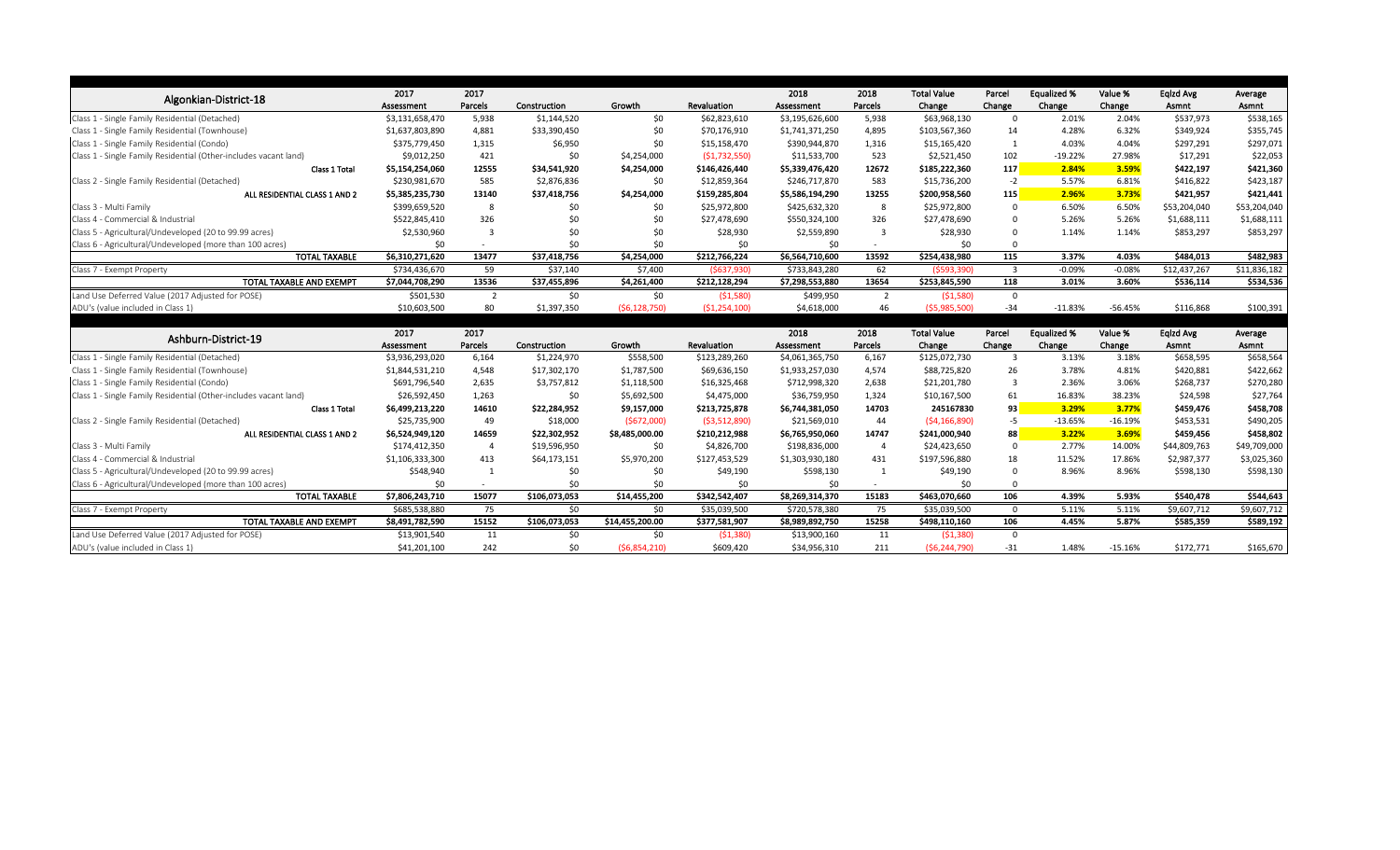|                                                                                       | 2017                         | 2017           |               |                     |                        | 2018                         | 2018           | <b>Total Value</b>          | Parcel      | <b>Equalized %</b> | Value %   | Eqlzd Avg    | Average                  |
|---------------------------------------------------------------------------------------|------------------------------|----------------|---------------|---------------------|------------------------|------------------------------|----------------|-----------------------------|-------------|--------------------|-----------|--------------|--------------------------|
| Algonkian-District-18                                                                 | Assessment                   | Parcels        | Construction  | Growth              | Revaluation            | Assessment                   | Parcels        | Change                      | Change      | Change             | Change    | Asmnt        | Asmnt                    |
| Class 1 - Single Family Residential (Detached)                                        | \$3,131,658,470              | 5,938          | \$1,144,520   | \$0                 | \$62,823,610           | \$3,195,626,600              | 5,938          | \$63,968,130                | $\Omega$    | 2.01%              | 2.04%     | \$537,973    | \$538,165                |
| Class 1 - Single Family Residential (Townhouse)                                       | \$1,637,803,890              | 4,881          | \$33,390,450  | \$0                 | \$70,176,910           | \$1,741,371,250              | 4,895          | \$103,567,360               | 14          | 4.28%              | 6.32%     | \$349,924    | \$355,745                |
| Class 1 - Single Family Residential (Condo)                                           | \$375,779,450                | 1,315          | \$6,950       | \$0                 | \$15,158,470           | \$390,944,870                | 1,316          | \$15,165,420                | -1          | 4.03%              | 4.04%     | \$297,291    | \$297,071                |
| Class 1 - Single Family Residential (Other-includes vacant land)                      | \$9,012,250                  | 421            | \$0           | \$4,254,000         | (51, 732, 550)         | \$11,533,700                 | 523            | \$2,521,450                 | 102         | $-19.22%$          | 27.98%    | \$17,291     | \$22,053                 |
| Class 1 Total                                                                         | \$5,154,254,060              | 12555          | \$34,541,920  | \$4,254,000         | \$146,426,440          | \$5,339,476,420              | 12672          | \$185,222,360               | 117         | 2.84%              | 3.59%     | \$422,197    | \$421,360                |
| Class 2 - Single Family Residential (Detached)                                        | \$230,981,670                | 585            | \$2,876,836   | \$0                 | \$12,859,364           | \$246,717,870                | 583            | \$15,736,200                | $-2$        | 5.57%              | 6.81%     | \$416,822    | \$423,187                |
| ALL RESIDENTIAL CLASS 1 AND 2                                                         | \$5,385,235,730              | 13140          | \$37,418,756  | \$4,254,000         | \$159,285,804          | \$5,586,194,290              | 13255          | \$200,958,560               | 115         | 2.96%              | 3.73%     | \$421,957    | \$421,441                |
| Class 3 - Multi Family                                                                | \$399,659,520                | 8              | \$0           | \$0                 | \$25,972,800           | \$425,632,320                | 8              | \$25,972,800                | $\Omega$    | 6.50%              | 6.50%     | \$53,204,040 | \$53,204,040             |
| Class 4 - Commercial & Industrial                                                     | \$522,845,410                | 326            | \$0           | \$0                 | \$27,478,690           | \$550,324,100                | 326            | \$27,478,690                | $\Omega$    | 5.26%              | 5.26%     | \$1,688,111  | \$1,688,111              |
| Class 5 - Agricultural/Undeveloped (20 to 99.99 acres)                                | \$2,530,960                  |                | \$0           | \$0                 | \$28,930               | \$2,559,890                  | 3              | \$28,930                    | $\Omega$    | 1.14%              | 1.14%     | \$853,297    | \$853,297                |
| Class 6 - Agricultural/Undeveloped (more than 100 acres)                              | \$0                          |                | \$0           | \$0                 | \$0                    | \$0                          |                | \$0                         | $\Omega$    |                    |           |              |                          |
| <b>TOTAL TAXABLE</b>                                                                  | \$6,310,271,620              | 13477          | \$37,418,756  | \$4,254,000         | \$212,766,224          | \$6,564,710,600              | 13592          | \$254,438,980               | 115         | 3.37%              | 4.03%     | \$484,013    | \$482,983                |
| Class 7 - Exempt Property                                                             | \$734,436,670                | 59             | \$37,140      | \$7,400             | (5637,930)             | \$733,843,280                | 62             | ( \$593, 390)               | 3           | $-0.09%$           | $-0.08%$  | \$12,437,267 | \$11,836,182             |
| TOTAL TAXABLE AND EXEMPT                                                              | \$7,044,708,290              | 13536          | \$37,455,896  | \$4,261,400         | \$212,128,294          | \$7,298,553,880              | 13654          | \$253,845,590               | 118         | 3.01%              | 3.60%     | \$536,114    | \$534,536                |
| Land Use Deferred Value (2017 Adjusted for POSE)                                      | \$501,530                    | $\overline{2}$ | \$0\$         | \$0\$               | (\$1,580)              | \$499,950                    | $\overline{2}$ | (51,580)                    | $\mathbf 0$ |                    |           |              |                          |
| ADU's (value included in Class 1)                                                     | \$10,603,500                 | 80             | \$1,397,350   | (56, 128, 750)      | (51, 254, 100)         | \$4,618,000                  | 46             | (55,985,500)                | $-34$       | $-11.83%$          | $-56.45%$ | \$116,868    | \$100,391                |
|                                                                                       |                              |                |               |                     |                        |                              |                |                             |             |                    |           |              |                          |
|                                                                                       |                              |                |               |                     |                        |                              |                |                             |             |                    |           |              |                          |
|                                                                                       | 2017                         | 2017           |               |                     |                        | 2018                         | 2018           | <b>Total Value</b>          | Parcel      | <b>Equalized %</b> | Value %   | Eqlzd Avg    | Average                  |
| Ashburn-District-19                                                                   | Assessment                   | Parcels        | Construction  | Growth              | Revaluation            | Assessment                   | Parcels        | Change                      | Change      | Change             | Change    | Asmnt        | Asmnt                    |
| Class 1 - Single Family Residential (Detached)                                        | \$3,936,293,020              | 6,164          | \$1,224,970   | \$558,500           | \$123,289,260          | \$4,061,365,750              | 6,167          | \$125,072,730               | -3          | 3.13%              | 3.18%     | \$658,595    | \$658,564                |
| Class 1 - Single Family Residential (Townhouse)                                       | \$1,844,531,210              | 4,548          | \$17,302,170  | \$1,787,500         | \$69,636,150           | \$1,933,257,030              | 4,574          | \$88,725,820                | 26          | 3.78%              | 4.81%     | \$420,881    | \$422,662                |
| Class 1 - Single Family Residential (Condo)                                           | \$691,796,540                | 2,635          | \$3,757,812   | \$1,118,500         | \$16,325,468           | \$712,998,320                | 2,638          | \$21,201,780                | -3          | 2.36%              | 3.06%     | \$268,737    | \$270,280                |
| Class 1 - Single Family Residential (Other-includes vacant land)                      | \$26,592,450                 | 1,263          | \$0           | \$5,692,500         | \$4,475,000            | \$36,759,950                 | 1,324          | \$10,167,500                | 61          | 16.83%             | 38.23%    | \$24,598     | \$27,764                 |
| Class 1 Total                                                                         | \$6,499,213,220              | 14610          | \$22,284,952  | \$9,157,000         | \$213,725,878          | \$6,744,381,050              | 14703          | 245167830                   | 93          | 3.29%              | 3.77%     | \$459,476    | \$458,708                |
| Class 2 - Single Family Residential (Detached)                                        | \$25,735,900                 | 49             | \$18,000      | (5672,000)          | (53,512,890)           | \$21,569,010                 | 44             | (54, 166, 890)              | $-5$        | $-13.65%$          | $-16.19%$ | \$453,531    | \$490,205                |
| ALL RESIDENTIAL CLASS 1 AND 2                                                         | \$6,524,949,120              | 14659          | \$22,302,952  | \$8,485,000.00      | \$210,212,988          | \$6,765,950,060              | 14747          | \$241,000,940               | 88          | 3.22%              | 3.69%     | \$459,456    | \$458,802                |
| Class 3 - Multi Family                                                                | \$174,412,350                |                | \$19,596,950  | \$0                 | \$4,826,700            | \$198,836,000                |                | \$24,423,650                | $\Omega$    | 2.77%              | 14.00%    | \$44,809,763 | \$49,709,000             |
| Class 4 - Commercial & Industrial                                                     | \$1,106,333,300              | 413            | \$64,173,151  | \$5,970,200         | \$127,453,529          | \$1,303,930,180              | 431            | \$197,596,880               | 18          | 11.52%             | 17.86%    | \$2,987,377  |                          |
| Class 5 - Agricultural/Undeveloped (20 to 99.99 acres)                                | \$548,940                    |                | \$0           | \$0                 | \$49,190               | \$598,130                    |                | \$49,190                    |             | 8.96%              | 8.96%     | \$598,130    |                          |
| Class 6 - Agricultural/Undeveloped (more than 100 acres)                              | \$0                          |                | \$0           | \$0                 | \$0                    | \$0                          |                | \$0                         |             |                    |           |              | \$3,025,360<br>\$598,130 |
| <b>TOTAL TAXABLE</b>                                                                  | \$7,806,243,710              | 15077          | \$106,073,053 | \$14,455,200        | \$342,542,407          | \$8,269,314,370              | 15183          | \$463,070,660               | 106         | 4.39%              | 5.93%     | \$540,478    | \$544,643                |
| Class 7 - Exempt Property                                                             | \$685,538,880                | 75             | \$0           | \$0                 | \$35,039,500           | \$720,578,380                | 75             | \$35,039,500                | 0           | 5.11%              | 5.11%     | \$9,607,712  | \$9,607,712              |
| TOTAL TAXABLE AND EXEMPT                                                              | \$8,491,782,590              | 15152          | \$106,073,053 | \$14,455,200.00     | \$377,581,907          | \$8,989,892,750              | 15258          | \$498,110,160               | 106         | 4.45%              | 5.87%     | \$585,359    | \$589,192                |
| Land Use Deferred Value (2017 Adjusted for POSE)<br>ADU's (value included in Class 1) | \$13,901,540<br>\$41,201,100 | 11<br>242      | \$0<br>\$0    | \$0<br>(56,854,210) | (51, 380)<br>\$609,420 | \$13,900,160<br>\$34,956,310 | 11<br>211      | (51, 380)<br>(56, 244, 790) | 0<br>$-31$  | 1.48%              | -15.16%   | \$172,771    | \$165,670                |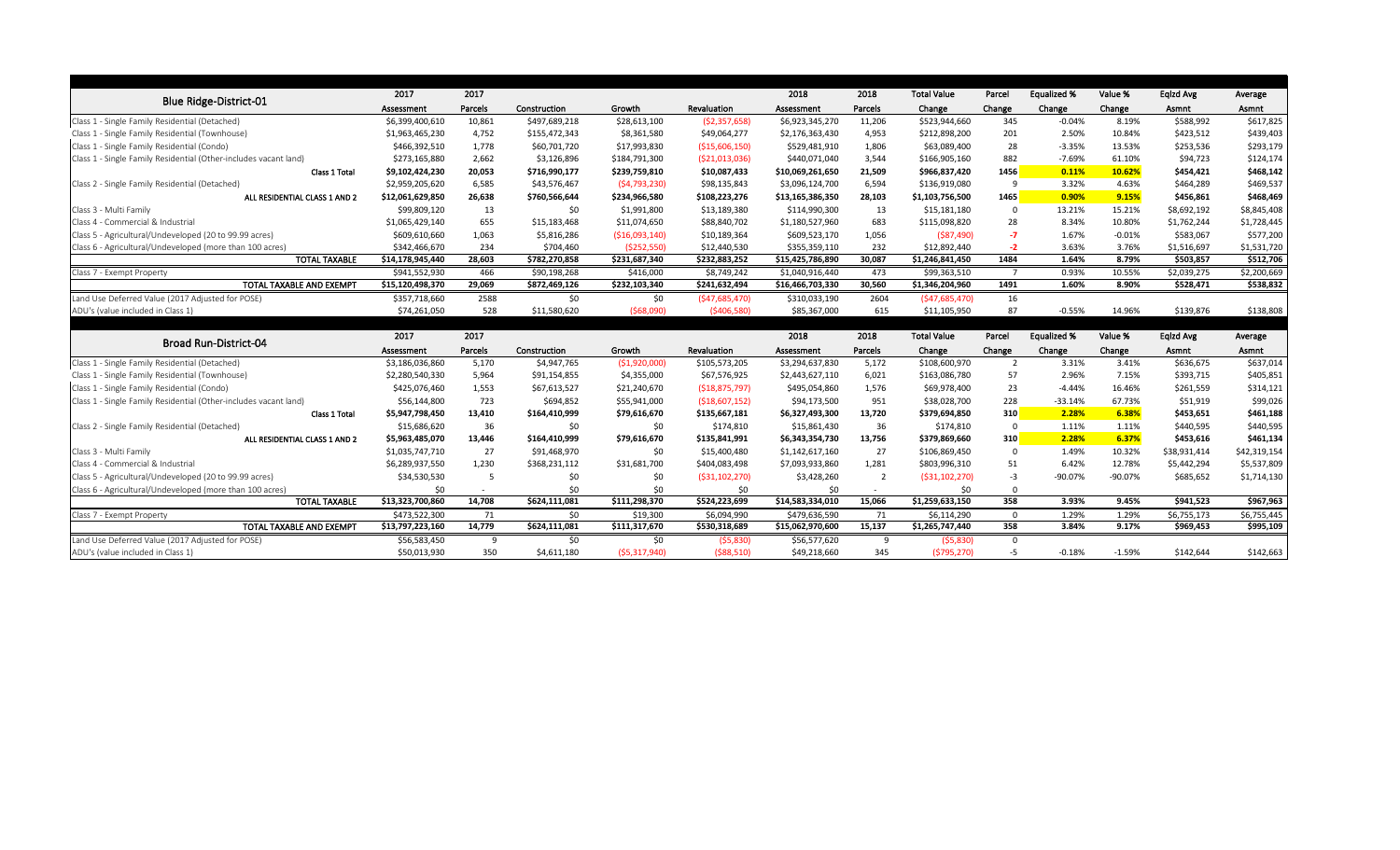|                                                                  | 2017             | 2017    |               |                 |                 | 2018             | 2018    | <b>Total Value</b> | Parcel         | <b>Equalized %</b> | Value %  | Eqlzd Avg    | Average      |
|------------------------------------------------------------------|------------------|---------|---------------|-----------------|-----------------|------------------|---------|--------------------|----------------|--------------------|----------|--------------|--------------|
| <b>Blue Ridge-District-01</b>                                    | Assessment       | Parcels | Construction  | Growth          | Revaluation     | Assessment       | Parcels | Change             | Change         | Change             | Change   | Asmnt        | Asmnt        |
| Class 1 - Single Family Residential (Detached)                   | \$6,399,400,610  | 10,861  | \$497,689,218 | \$28,613,100    | (52, 357, 658)  | \$6,923,345,270  | 11,206  | \$523,944,660      | 345            | $-0.04%$           | 8.19%    | \$588,992    | \$617,825    |
| Class 1 - Single Family Residential (Townhouse)                  | \$1,963,465,230  | 4,752   | \$155,472,343 | \$8,361,580     | \$49,064,277    | \$2,176,363,430  | 4,953   | \$212,898,200      | 201            | 2.50%              | 10.84%   | \$423,512    | \$439,403    |
| Class 1 - Single Family Residential (Condo)                      | \$466,392,510    | 1,778   | \$60,701,720  | \$17,993,830    | ( \$15,606,150) | \$529,481,910    | 1,806   | \$63,089,400       | 28             | $-3.35%$           | 13.53%   | \$253,536    | \$293,179    |
| Class 1 - Single Family Residential (Other-includes vacant land) | \$273,165,880    | 2,662   | \$3,126,896   | \$184,791,300   | ( \$21,013,036) | \$440,071,040    | 3,544   | \$166,905,160      | 882            | $-7.69%$           | 61.10%   | \$94,723     | \$124,174    |
| Class 1 Total                                                    | \$9,102,424,230  | 20,053  | \$716,990,177 | \$239,759,810   | \$10,087,433    | \$10,069,261,650 | 21,509  | \$966,837,420      | 1456           | 0.11%              | 10.62%   | \$454,421    | \$468,142    |
| Class 2 - Single Family Residential (Detached)                   | \$2,959,205,620  | 6,585   | \$43,576,467  | (54, 793, 230)  | \$98,135,843    | \$3,096,124,700  | 6,594   | \$136,919,080      | - q            | 3.32%              | 4.63%    | \$464,289    | \$469,537    |
| ALL RESIDENTIAL CLASS 1 AND 2                                    | \$12,061,629,850 | 26,638  | \$760,566,644 | \$234,966,580   | \$108,223,276   | \$13,165,386,350 | 28,103  | \$1,103,756,500    | 1465           | 0.90%              | 9.15%    | \$456,861    | \$468,469    |
| Class 3 - Multi Family                                           | \$99,809,120     | 13      | \$0           | \$1,991,800     | \$13,189,380    | \$114,990,300    | 13      | \$15,181,180       | - 0            | 13.21%             | 15.21%   | \$8,692,192  | \$8,845,408  |
| Class 4 - Commercial & Industrial                                | \$1,065,429,140  | 655     | \$15,183,468  | \$11,074,650    | \$88,840,702    | \$1,180,527,960  | 683     | \$115,098,820      | 28             | 8.34%              | 10.80%   | \$1,762,244  | \$1,728,445  |
| Class 5 - Agricultural/Undeveloped (20 to 99.99 acres)           | \$609,610,660    | 1,063   | \$5,816,286   | ( \$16,093,140) | \$10,189,364    | \$609,523,170    | 1,056   | $($ \$87,490)      | $-7$           | 1.67%              | $-0.01%$ | \$583,067    | \$577,200    |
| Class 6 - Agricultural/Undeveloped (more than 100 acres)         | \$342,466,670    | 234     | \$704,460     | ( \$252, 550)   | \$12,440,530    | \$355,359,110    | 232     | \$12,892,440       | $-2$           | 3.63%              | 3.76%    | \$1,516,697  | \$1,531,720  |
| <b>TOTAL TAXABLE</b>                                             | \$14,178,945,440 | 28,603  | \$782,270,858 | \$231,687,340   | \$232,883,252   | \$15,425,786,890 | 30,087  | \$1,246,841,450    | 1484           | 1.64%              | 8.79%    | \$503,857    | \$512,706    |
| Class 7 - Exempt Property                                        | \$941,552,930    | 466     | \$90,198,268  | \$416,000       | \$8,749,242     | \$1,040,916,440  | 473     | \$99,363,510       | $\overline{7}$ | 0.93%              | 10.55%   | \$2,039,275  | \$2,200,669  |
| TOTAL TAXABLE AND EXEMPT                                         | \$15,120,498,370 | 29,069  | \$872,469,126 | \$232,103,340   | \$241,632,494   | \$16,466,703,330 | 30,560  | \$1,346,204,960    | 1491           | 1.60%              | 8.90%    | \$528,471    | \$538,832    |
| Land Use Deferred Value (2017 Adjusted for POSE)                 | \$357,718,660    | 2588    | \$0           | \$0             | (547, 685, 470) | \$310,033,190    | 2604    | (547, 685, 470)    | 16             |                    |          |              |              |
| ADU's (value included in Class 1)                                | \$74,261,050     | 528     | \$11,580,620  | (568,090)       | (5406,580)      | \$85,367,000     | 615     | \$11,105,950       | 87             | $-0.55%$           | 14.96%   | \$139,876    | \$138,808    |
|                                                                  |                  |         |               |                 |                 |                  |         |                    |                |                    |          |              |              |
| <b>Broad Run-District-04</b>                                     | 2017             | 2017    |               |                 |                 | 2018             | 2018    | <b>Total Value</b> | Parcel         | <b>Equalized %</b> | Value %  | Eqlzd Avg    | Average      |
|                                                                  |                  |         |               |                 |                 |                  |         |                    | Change         |                    |          | Asmnt        | Asmnt        |
|                                                                  | Assessment       | Parcels | Construction  | Growth          | Revaluation     | Assessment       | Parcels | Change             |                | Change             | Change   |              |              |
| Class 1 - Single Family Residential (Detached)                   | \$3,186,036,860  | 5,170   | \$4,947,765   | ( \$1,920,000]  | \$105,573,205   | \$3,294,637,830  | 5,172   | \$108,600,970      | $\overline{2}$ | 3.31%              | 3.41%    | \$636,675    | \$637,014    |
| Class 1 - Single Family Residential (Townhouse)                  | \$2,280,540,330  | 5,964   | \$91,154,855  | \$4,355,000     | \$67,576,925    | \$2,443,627,110  | 6,021   | \$163,086,780      | 57             | 2.96%              | 7.15%    | \$393,715    | \$405,851    |
| Class 1 - Single Family Residential (Condo)                      | \$425,076,460    | 1,553   | \$67,613,527  | \$21,240,670    | ( \$18,875,797) | \$495,054,860    | 1,576   | \$69,978,400       | 23             | $-4.44%$           | 16.46%   | \$261,559    | \$314,121    |
| Class 1 - Single Family Residential (Other-includes vacant land) | \$56,144,800     | 723     | \$694,852     | \$55,941,000    | ( \$18,607,152) | \$94,173,500     | 951     | \$38,028,700       | 228            | $-33.14%$          | 67.73%   | \$51,919     | \$99,026     |
| Class 1 Total                                                    | \$5,947,798,450  | 13,410  | \$164,410,999 | \$79,616,670    | \$135,667,181   | \$6,327,493,300  | 13,720  | \$379,694,850      | 310            | 2.28%              | 6.38%    | \$453,651    | \$461,188    |
| Class 2 - Single Family Residential (Detached)                   | \$15,686,620     | 36      | \$0           | \$0             | \$174,810       | \$15,861,430     | 36      | \$174,810          | $\overline{0}$ | 1.11%              | 1.11%    | \$440,595    | \$440,595    |
| ALL RESIDENTIAL CLASS 1 AND 2                                    | \$5,963,485,070  | 13,446  | \$164,410,999 | \$79,616,670    | \$135,841,991   | \$6,343,354,730  | 13,756  | \$379,869,660      | 310            | 2.28%              | 6.37%    | \$453,616    | \$461,134    |
| Class 3 - Multi Family                                           | \$1,035,747,710  | 27      | \$91,468,970  | \$0             | \$15,400,480    | \$1,142,617,160  | 27      | \$106,869,450      | $\Omega$       | 1.49%              | 10.32%   | \$38,931,414 | \$42,319,154 |
| Class 4 - Commercial & Industrial                                | \$6,289,937,550  | 1,230   | \$368,231,112 | \$31,681,700    | \$404,083,498   | \$7,093,933,860  | 1,281   | \$803,996,310      | 51             | 6.42%              | 12.78%   | \$5,442,294  | \$5,537,809  |
| Class 5 - Agricultural/Undeveloped (20 to 99.99 acres)           | \$34,530,530     |         | \$0           | \$0             | ( \$31,102,270) | \$3,428,260      | 2       | ( \$31,102,270)    | -3             | -90.07%            | -90.07%  | \$685,652    | \$1,714,130  |
| Class 6 - Agricultural/Undeveloped (more than 100 acres)         | \$0              |         | \$0           | \$0             | \$0             | \$0              |         | \$0                | 0              |                    |          |              |              |
| <b>TOTAL TAXABLE</b>                                             | \$13,323,700,860 | 14,708  | \$624,111,081 | \$111,298,370   | \$524,223,699   | \$14,583,334,010 | 15,066  | \$1,259,633,150    | 358            | 3.93%              | 9.45%    | \$941,523    | \$967,963    |
| Class 7 - Exempt Property                                        | \$473,522,300    | 71      | \$0           | \$19,300        | \$6,094,990     | \$479,636,590    | 71      | \$6,114,290        | 0              | 1.29%              | 1.29%    | \$6,755,173  | \$6,755,445  |
| TOTAL TAXABLE AND EXEMPT                                         | \$13,797,223,160 | 14,779  | \$624,111,081 | \$111,317,670   | \$530,318,689   | \$15,062,970,600 | 15,137  | \$1,265,747,440    | 358            | 3.84%              | 9.17%    | \$969,453    | \$995,109    |
| Land Use Deferred Value (2017 Adjusted for POSE)                 | \$56,583,450     | -9      | \$0           | \$0             | (55,830)        | \$56,577,620     | 9       | (55,830)           | 0              |                    |          |              |              |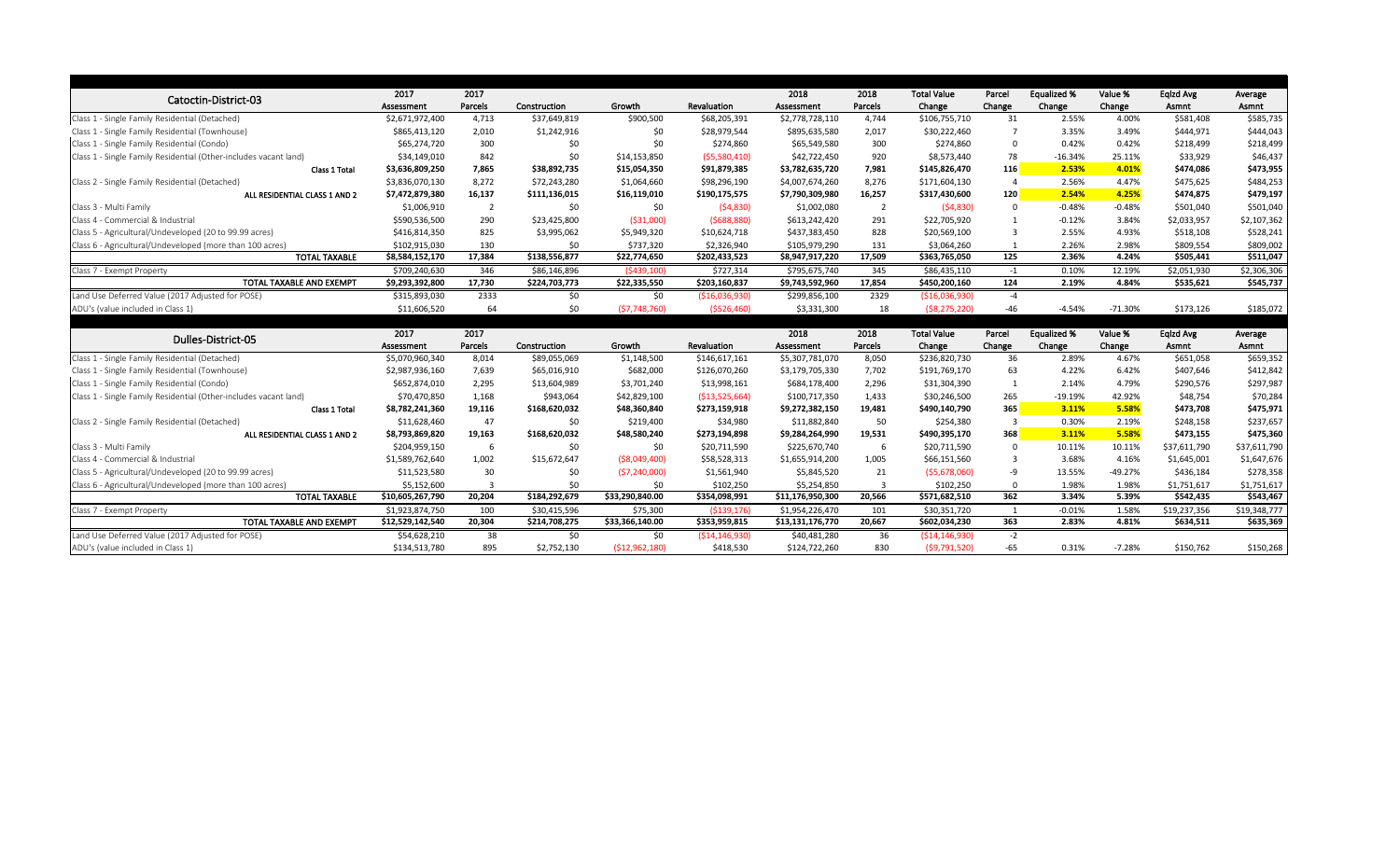|                                                                  | 2017             | 2017           |               |                 |                   | 2018             | 2018           | <b>Total Value</b> | Parcel         | <b>Equalized %</b> | Value %   | Eqlzd Avg    | Average      |
|------------------------------------------------------------------|------------------|----------------|---------------|-----------------|-------------------|------------------|----------------|--------------------|----------------|--------------------|-----------|--------------|--------------|
| Catoctin-District-03                                             | Assessment       | Parcels        | Construction  | Growth          | Revaluation       | Assessment       | Parcels        | Change             | Change         | Change             | Change    | Asmnt        | Asmnt        |
| Class 1 - Single Family Residential (Detached)                   | \$2,671,972,400  | 4,713          | \$37,649,819  | \$900,500       | \$68,205,391      | \$2,778,728,110  | 4,744          | \$106,755,710      | 31             | 2.55%              | 4.00%     | \$581,408    | \$585,735    |
| Class 1 - Single Family Residential (Townhouse)                  | \$865,413,120    | 2,010          | \$1,242,916   | \$0             | \$28,979,544      | \$895,635,580    | 2,017          | \$30,222,460       |                | 3.35%              | 3.49%     | \$444,971    | \$444,043    |
| Class 1 - Single Family Residential (Condo)                      | \$65,274,720     | 300            | \$0           | \$0             | \$274,860         | \$65,549,580     | 300            | \$274,860          | $\overline{0}$ | 0.42%              | 0.42%     | \$218,499    | \$218,499    |
| Class 1 - Single Family Residential (Other-includes vacant land) | \$34,149,010     | 842            | \$0           | \$14,153,850    | (55,580,410)      | \$42,722,450     | 920            | \$8,573,440        | 78             | $-16.34%$          | 25.11%    | \$33,929     | \$46,437     |
| Class 1 Total                                                    | \$3,636,809,250  | 7,865          | \$38,892,735  | \$15,054,350    | \$91,879,385      | \$3,782,635,720  | 7,981          | \$145,826,470      | <b>116</b>     | 2.53%              | 4.01%     | \$474,086    | \$473,955    |
| Class 2 - Single Family Residential (Detached)                   | \$3,836,070,130  | 8,272          | \$72,243,280  | \$1,064,660     | \$98,296,190      | \$4,007,674,260  | 8,276          | \$171,604,130      | -4             | 2.56%              | 4.47%     | \$475,625    | \$484,253    |
| ALL RESIDENTIAL CLASS 1 AND 2                                    | \$7,472,879,380  | 16,137         | \$111,136,015 | \$16,119,010    | \$190,175,575     | \$7,790,309,980  | 16,257         | \$317,430,600      | 120            | 2.54%              | 4.25%     | \$474,875    | \$479,197    |
| Class 3 - Multi Family                                           | \$1,006,910      | $\overline{2}$ | \$0           | \$0             | (54,830)          | \$1,002,080      | $\overline{2}$ | (54,830)           | $\overline{0}$ | $-0.48%$           | $-0.48%$  | \$501,040    | \$501,040    |
| Class 4 - Commercial & Industrial                                | \$590,536,500    | 290            | \$23,425,800  | ( \$31,000)     | (5688, 880)       | \$613,242,420    | 291            | \$22,705,920       | 1              | $-0.12%$           | 3.84%     | \$2,033,957  | \$2,107,362  |
| Class 5 - Agricultural/Undeveloped (20 to 99.99 acres)           | \$416,814,350    | 825            | \$3,995,062   | \$5,949,320     | \$10,624,718      | \$437,383,450    | 828            | \$20,569,100       | -3             | 2.55%              | 4.93%     | \$518,108    | \$528,241    |
| Class 6 - Agricultural/Undeveloped (more than 100 acres)         | \$102,915,030    | 130            | \$0           | \$737,320       | \$2,326,940       | \$105,979,290    | 131            | \$3,064,260        |                | 2.26%              | 2.98%     | \$809,554    | \$809,002    |
| <b>TOTAL TAXABLE</b>                                             | \$8,584,152,170  | 17,384         | \$138,556,877 | \$22,774,650    | \$202,433,523     | \$8,947,917,220  | 17,509         | \$363,765,050      | 125            | 2.36%              | 4.24%     | \$505,441    | \$511,047    |
| Class 7 - Exempt Property                                        | \$709,240,630    | 346            | \$86,146,896  | (5439, 100)     | \$727,314         | \$795,675,740    | 345            | \$86,435,110       | $-1$           | 0.10%              | 12.19%    | \$2,051,930  | \$2,306,306  |
| TOTAL TAXABLE AND EXEMPT                                         | \$9,293,392,800  | 17,730         | \$224,703,773 | \$22,335,550    | \$203,160,837     | \$9,743,592,960  | 17,854         | \$450,200,160      | 124            | 2.19%              | 4.84%     | \$535,621    | \$545,737    |
| Land Use Deferred Value (2017 Adjusted for POSE)                 | \$315,893,030    | 2333           | \$0           | \$0             | ( \$16,036,930)   | \$299,856,100    | 2329           | ( \$16,036,930)    | $-4$           |                    |           |              |              |
| ADU's (value included in Class 1)                                | \$11,606,520     | 64             | \$0           | (57,748,760)    | (5526, 460)       | \$3,331,300      | 18             | (58, 275, 220)     | $-46$          | $-4.54%$           | $-71.30%$ | \$173,126    | \$185,072    |
|                                                                  |                  |                |               |                 |                   |                  |                |                    |                |                    |           |              |              |
| Dulles-District-05                                               | 2017             | 2017           |               |                 |                   | 2018             | 2018           | <b>Total Value</b> | Parcel         | <b>Equalized %</b> | Value %   | Eqlzd Avg    | Average      |
|                                                                  |                  |                |               |                 |                   |                  |                |                    |                |                    |           | Asmnt        | Asmnt        |
|                                                                  | Assessment       | Parcels        | Construction  | Growth          | Revaluation       | Assessment       | Parcels        | Change             | Change         | Change             | Change    |              |              |
| Class 1 - Single Family Residential (Detached)                   | \$5,070,960,340  | 8,014          | \$89,055,069  | \$1,148,500     | \$146,617,161     | \$5,307,781,070  | 8,050          | \$236,820,730      | 36             | 2.89%              | 4.67%     | \$651,058    | \$659,352    |
| Class 1 - Single Family Residential (Townhouse)                  | \$2,987,936,160  | 7,639          | \$65,016,910  | \$682,000       | \$126,070,260     | \$3,179,705,330  | 7,702          | \$191,769,170      | 63             | 4.22%              | 6.42%     | \$407,646    | \$412,842    |
| Class 1 - Single Family Residential (Condo)                      | \$652,874,010    | 2,295          | \$13,604,989  | \$3,701,240     | \$13,998,161      | \$684,178,400    | 2,296          | \$31,304,390       | 1              | 2.14%              | 4.79%     | \$290,576    | \$297,987    |
| Class 1 - Single Family Residential (Other-includes vacant land) | \$70,470,850     | 1,168          | \$943,064     | \$42,829,100    | ( \$13,525,664)   | \$100,717,350    | 1,433          | \$30,246,500       | 265            | $-19.19%$          | 42.92%    | \$48,754     | \$70,284     |
| Class 1 Total                                                    | \$8,782,241,360  | 19,116         | \$168,620,032 | \$48,360,840    | \$273,159,918     | \$9,272,382,150  | 19,481         | \$490,140,790      | 365            | 3.11%              | 5.58%     | \$473,708    | \$475,971    |
| Class 2 - Single Family Residential (Detached)                   | \$11,628,460     | 47             | \$0           | \$219,400       | \$34,980          | \$11,882,840     | 50             | \$254,380          | -3             | 0.30%              | 2.19%     | \$248,158    | \$237,657    |
| ALL RESIDENTIAL CLASS 1 AND 2                                    | \$8,793,869,820  | 19,163         | \$168,620,032 | \$48,580,240    | \$273,194,898     | \$9,284,264,990  | 19,531         | \$490,395,170      | 368            | 3.11%              | 5.58%     | \$473,155    | \$475,360    |
| Class 3 - Multi Family                                           | \$204,959,150    | 6              | \$0           | \$0             | \$20,711,590      | \$225,670,740    | -6             | \$20,711,590       | $\overline{0}$ | 10.11%             | 10.11%    | \$37,611,790 | \$37,611,790 |
| Class 4 - Commercial & Industrial                                | \$1,589,762,640  | 1,002          | \$15,672,647  | ( \$8,049,400)  | \$58,528,313      | \$1,655,914,200  | 1,005          | \$66,151,560       | 3              | 3.68%              | 4.16%     | \$1,645,001  | \$1,647,676  |
| Class 5 - Agricultural/Undeveloped (20 to 99.99 acres)           | \$11,523,580     | 30             | \$0           | (57, 240, 000)  | \$1,561,940       | \$5,845,520      | 21             | (55,678,060)       | -9             | 13.55%             | $-49.27%$ | \$436,184    | \$278,358    |
| Class 6 - Agricultural/Undeveloped (more than 100 acres)         | \$5,152,600      |                | \$0           | \$0             | \$102,250         | \$5,254,850      |                | \$102,250          | - 0            | 1.98%              | 1.98%     | \$1,751,617  | \$1,751,617  |
| <b>TOTAL TAXABLE</b>                                             | \$10,605,267,790 | 20,204         | \$184,292,679 | \$33,290,840.00 | \$354,098,991     | \$11,176,950,300 | 20,566         | \$571,682,510      | 362            | 3.34%              | 5.39%     | \$542,435    | \$543,467    |
| Class 7 - Exempt Property                                        | \$1,923,874,750  | 100            | \$30,415,596  | \$75,300        | ( \$139, 176)     | \$1,954,226,470  | 101            | \$30,351,720       |                | $-0.01%$           | 1.58%     | \$19,237,356 | \$19,348,777 |
| TOTAL TAXABLE AND EXEMPT                                         | \$12,529,142,540 | 20,304         | \$214,708,275 | \$33,366,140.00 | \$353,959,815     | \$13,131,176,770 | 20,667         | \$602,034,230      | 363            | 2.83%              | 4.81%     | \$634,511    | \$635,369    |
| Land Use Deferred Value (2017 Adjusted for POSE)                 | \$54,628,210     | 38             | \$0           | \$0             | ( \$14, 146, 930) | \$40,481,280     | 36             | ( \$14, 146, 930)  | $-2$           |                    |           |              |              |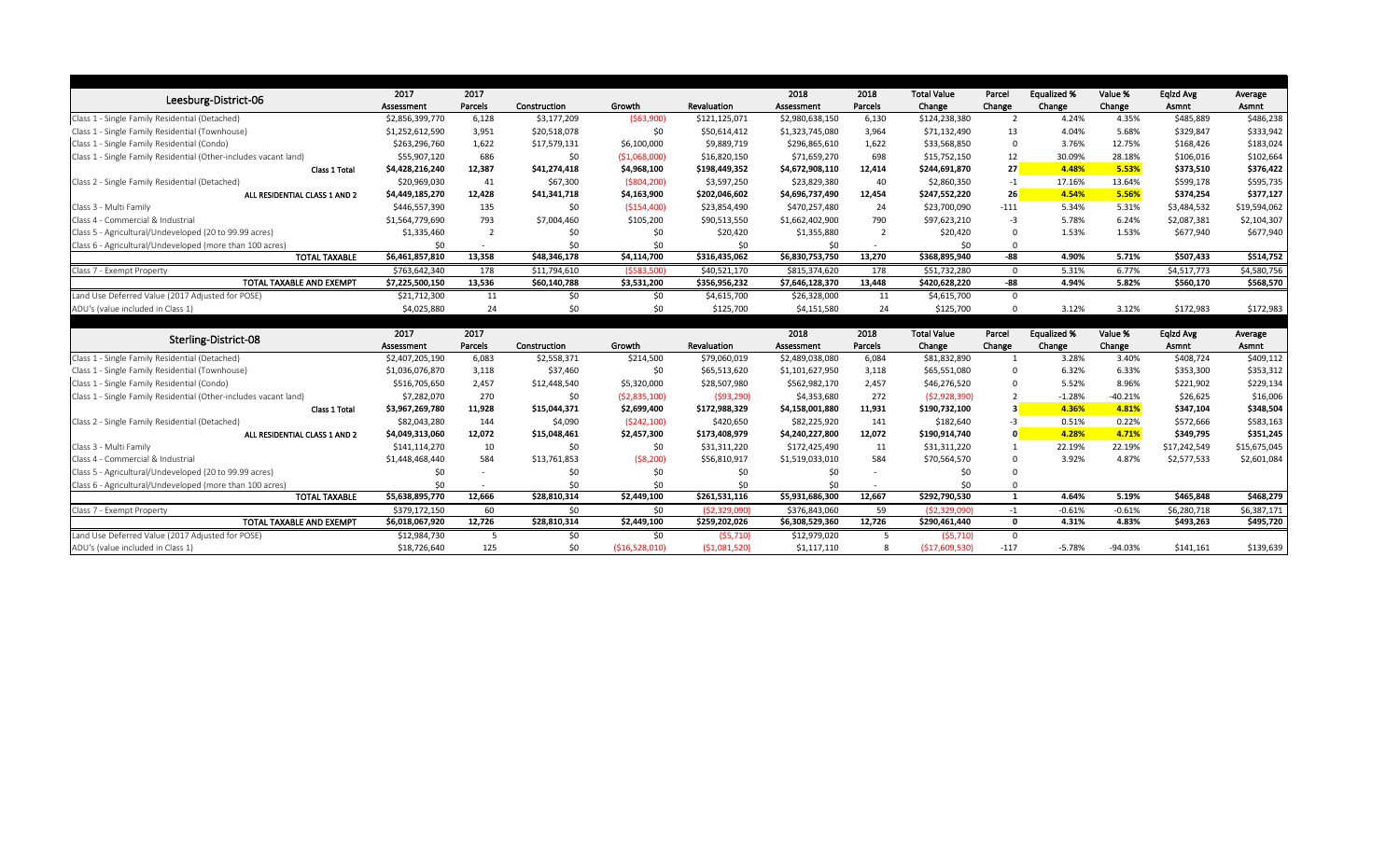|                                                                  | 2017            | 2017    |              |                |                | 2018            | 2018           | <b>Total Value</b> | Parcel         | <b>Equalized %</b> | Value %   | Eqlzd Avg    | Average                  |
|------------------------------------------------------------------|-----------------|---------|--------------|----------------|----------------|-----------------|----------------|--------------------|----------------|--------------------|-----------|--------------|--------------------------|
| Leesburg-District-06                                             | Assessment      | Parcels | Construction | Growth         | Revaluation    | Assessment      | Parcels        | Change             | Change         | Change             | Change    | Asmnt        | Asmnt                    |
| Class 1 - Single Family Residential (Detached)                   | \$2,856,399,770 | 6,128   | \$3,177,209  | (563,900)      | \$121,125,071  | \$2,980,638,150 | 6,130          | \$124,238,380      |                | 4.24%              | 4.35%     | \$485,889    | \$486,238                |
| Class 1 - Single Family Residential (Townhouse)                  | \$1,252,612,590 | 3,951   | \$20,518,078 | \$0            | \$50,614,412   | \$1,323,745,080 | 3,964          | \$71,132,490       | 13             | 4.04%              | 5.68%     | \$329,847    | \$333,942                |
| Class 1 - Single Family Residential (Condo)                      | \$263,296,760   | 1,622   | \$17,579,131 | \$6,100,000    | \$9,889,719    | \$296,865,610   | 1,622          | \$33,568,850       | $\Omega$       | 3.76%              | 12.75%    | \$168,426    | \$183,024                |
| Class 1 - Single Family Residential (Other-includes vacant land) | \$55,907,120    | 686     | \$0          | (51,068,000)   | \$16,820,150   | \$71,659,270    | 698            | \$15,752,150       | 12             | 30.09%             | 28.18%    | \$106,016    | \$102,664                |
| Class 1 Total                                                    | \$4,428,216,240 | 12,387  | \$41,274,418 | \$4,968,100    | \$198,449,352  | \$4,672,908,110 | 12,414         | \$244,691,870      | 27             | 4.48%              | 5.53%     | \$373,510    | \$376,422                |
| Class 2 - Single Family Residential (Detached)                   | \$20,969,030    | 41      | \$67,300     | ( \$804, 200)  | \$3,597,250    | \$23,829,380    | 40             | \$2,860,350        | $-1$           | 17.16%             | 13.64%    | \$599,178    | \$595,735                |
| ALL RESIDENTIAL CLASS 1 AND 2                                    | \$4,449,185,270 | 12,428  | \$41,341,718 | \$4,163,900    | \$202,046,602  | \$4,696,737,490 | 12,454         | \$247,552,220      | 26             | 4.54%              | 5.56%     | \$374,254    | \$377,127                |
| Class 3 - Multi Family                                           | \$446,557,390   | 135     | \$0          | ( \$154,400)   | \$23,854,490   | \$470,257,480   | 24             | \$23,700,090       | $-111$         | 5.34%              | 5.31%     | \$3,484,532  | \$19,594,062             |
| Class 4 - Commercial & Industrial                                | \$1,564,779,690 | 793     | \$7,004,460  | \$105,200      | \$90,513,550   | \$1,662,402,900 | 790            | \$97,623,210       | $-3$           | 5.78%              | 6.24%     | \$2,087,381  | \$2,104,307              |
| Class 5 - Agricultural/Undeveloped (20 to 99.99 acres)           | \$1,335,460     |         |              | \$0            | \$20,420       | \$1,355,880     | $\overline{2}$ | \$20,420           | $\Omega$       | 1.53%              | 1.53%     | \$677,940    | \$677,940                |
| Class 6 - Agricultural/Undeveloped (more than 100 acres)         | \$0             |         | \$0          | \$0            | \$0            | \$0             |                | \$0                | $\Omega$       |                    |           |              |                          |
| <b>TOTAL TAXABLE</b>                                             | \$6,461,857,810 | 13,358  | \$48,346,178 | \$4,114,700    | \$316,435,062  | \$6,830,753,750 | 13,270         | \$368,895,940      | -88            | 4.90%              | 5.71%     | \$507,433    | \$514,752                |
| Class 7 - Exempt Property                                        | \$763,642,340   | 178     | \$11,794,610 | (5583,500)     | \$40,521,170   | \$815,374,620   | 178            | \$51,732,280       | $\Omega$       | 5.31%              | 6.77%     | \$4,517,773  | \$4,580,756              |
| TOTAL TAXABLE AND EXEMPT                                         | \$7,225,500,150 | 13,536  | \$60,140,788 | \$3,531,200    | \$356,956,232  | \$7,646,128,370 | 13,448         | \$420,628,220      | $-88$          | 4.94%              | 5.82%     | \$560,170    | \$568,570                |
| Land Use Deferred Value (2017 Adjusted for POSE)                 | \$21,712,300    | 11      | \$0          | \$0            | \$4,615,700    | \$26,328,000    | 11             | \$4,615,700        | $\overline{0}$ |                    |           |              |                          |
| ADU's (value included in Class 1)                                | \$4,025,880     | 24      | \$0          | \$0            | \$125,700      | \$4,151,580     | 24             | \$125,700          | $\Omega$       | 3.12%              | 3.12%     | \$172,983    | \$172,983                |
|                                                                  |                 |         |              |                |                |                 |                |                    |                |                    |           |              |                          |
| Sterling-District-08                                             | 2017            | 2017    |              |                |                | 2018            | 2018           | <b>Total Value</b> | Parcel         | <b>Equalized %</b> | Value %   | Eqlzd Avg    | Average                  |
|                                                                  | Assessment      | Parcels | Construction | Growth         | Revaluation    | Assessment      | Parcels        | Change             | Change         | Change             | Change    | Asmnt        | Asmnt                    |
| Class 1 - Single Family Residential (Detached)                   | \$2,407,205,190 | 6,083   | \$2,558,371  | \$214,500      | \$79,060,019   | \$2,489,038,080 | 6,084          | \$81,832,890       |                | 3.28%              | 3.40%     | \$408,724    | \$409,112                |
| Class 1 - Single Family Residential (Townhouse)                  | \$1,036,076,870 | 3,118   | \$37,460     | \$0            | \$65,513,620   | \$1,101,627,950 | 3,118          | \$65,551,080       | 0              | 6.32%              | 6.33%     | \$353,300    | \$353,312                |
| Class 1 - Single Family Residential (Condo)                      | \$516,705,650   | 2,457   | \$12,448,540 | \$5,320,000    | \$28,507,980   | \$562,982,170   | 2,457          | \$46,276,520       | $\Omega$       | 5.52%              | 8.96%     | \$221,902    | \$229,134                |
| Class 1 - Single Family Residential (Other-includes vacant land) | \$7,282,070     | 270     | \$0          | ( \$2,835,100) | (593, 290)     | \$4,353,680     | 272            | (52,928,390)       |                | $-1.28%$           | $-40.21%$ | \$26,625     | \$16,006                 |
| Class 1 Total                                                    | \$3,967,269,780 | 11,928  | \$15,044,371 | \$2,699,400    | \$172,988,329  | \$4,158,001,880 | 11,931         | \$190,732,100      | -3             | 4.36%              | 4.81%     | \$347,104    | \$348,504                |
| Class 2 - Single Family Residential (Detached)                   | \$82,043,280    | 144     | \$4,090      | (5242, 100)    | \$420,650      | \$82,225,920    | 141            | \$182,640          | -3             | 0.51%              | 0.22%     | \$572,666    | \$583,163                |
| ALL RESIDENTIAL CLASS 1 AND 2                                    | \$4,049,313,060 | 12,072  | \$15,048,461 | \$2,457,300    | \$173,408,979  | \$4,240,227,800 | 12,072         | \$190,914,740      | $\mathbf 0$    | 4.28%              | 4.71%     | \$349,795    | \$351,245                |
| Class 3 - Multi Family                                           | \$141,114,270   | 10      | \$0          | \$0            | \$31,311,220   | \$172,425,490   | 11             | \$31,311,220       |                | 22.19%             | 22.19%    | \$17,242,549 | \$15,675,045             |
| Class 4 - Commercial & Industrial                                | \$1,448,468,440 | 584     | \$13,761,853 | ( \$8,200)     | \$56,810,917   | \$1,519,033,010 | 584            | \$70,564,570       |                | 3.92%              | 4.87%     | \$2,577,533  | \$2,601,084              |
| Class 5 - Agricultural/Undeveloped (20 to 99.99 acres)           | \$0             |         |              | \$0            | \$0            |                 |                |                    |                |                    |           |              |                          |
|                                                                  | \$0             |         | \$0          | \$0            | \$0            | \$0             |                |                    |                |                    |           |              |                          |
| Class 6 - Agricultural/Undeveloped (more than 100 acres)         |                 |         |              |                |                |                 |                |                    |                |                    |           |              |                          |
| <b>TOTAL TAXABLE</b>                                             | \$5,638,895,770 | 12,666  | \$28,810,314 | \$2,449,100    | \$261,531,116  | \$5,931,686,300 | 12,667         | \$292,790,530      |                | 4.64%              | 5.19%     | \$465,848    |                          |
| Class 7 - Exempt Property                                        | \$379,172,150   | 60      | \$0          | \$0            | (52, 329, 090) | \$376,843,060   | 59             | (52,329,090)       | $-1$           | $-0.61%$           | $-0.61%$  | \$6,280,718  | \$468,279<br>\$6,387,171 |
| TOTAL TAXABLE AND EXEMPT                                         | \$6,018,067,920 | 12,726  | \$28,810,314 | \$2,449,100    | \$259,202,026  | \$6,308,529,360 | 12,726         | \$290,461,440      | $\mathbf 0$    | 4.31%              | 4.83%     | \$493,263    | \$495,720                |
| Land Use Deferred Value (2017 Adjusted for POSE)                 | \$12,984,730    |         | \$0          | \$0            | (55, 710)      | \$12,979,020    | 5              | (55, 710)          | $\mathbf{0}$   |                    |           |              |                          |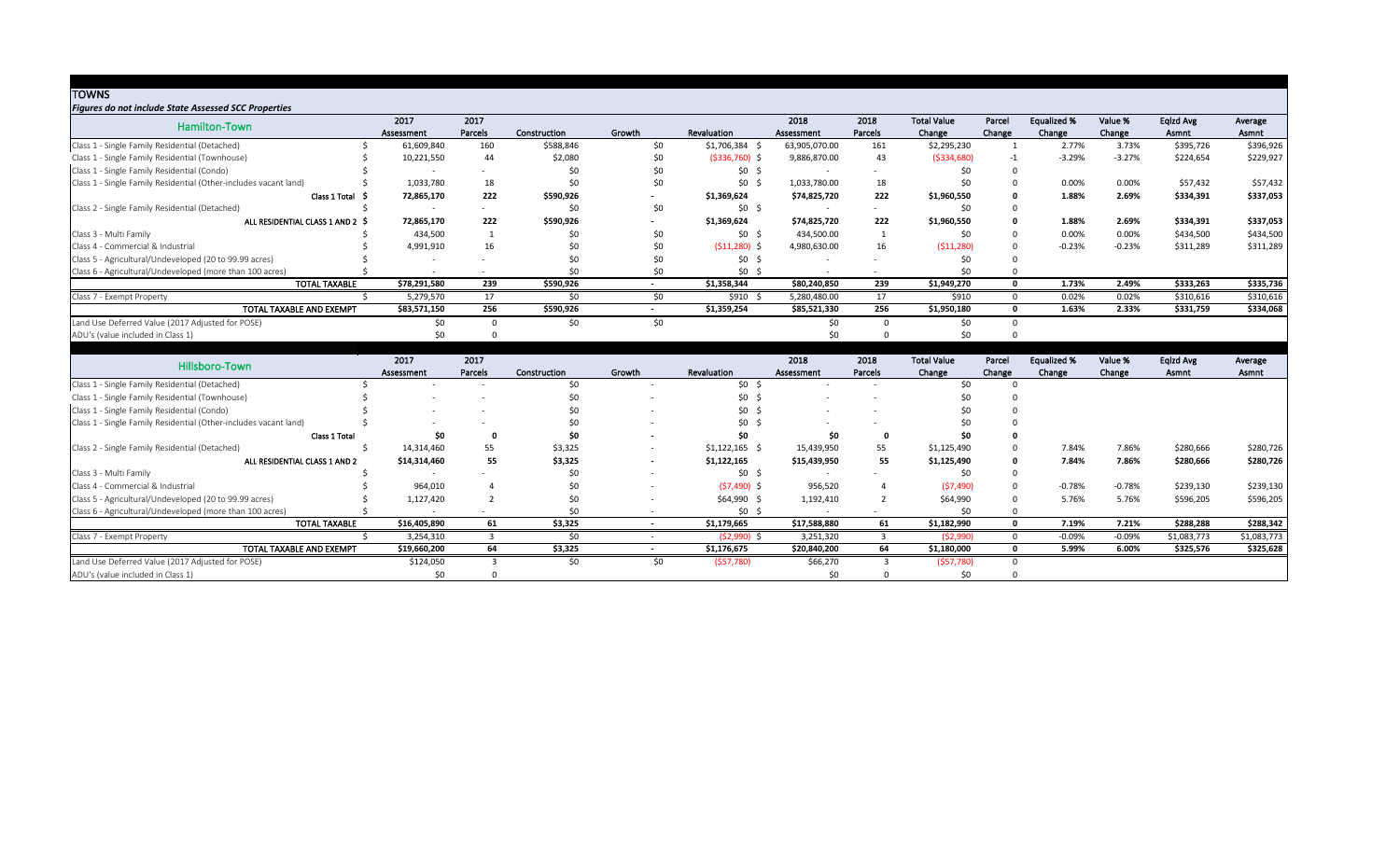| <b>TOWNS</b>                                                     |              |         |              |        |                 |               |         |                    |              |                    |          |           |           |
|------------------------------------------------------------------|--------------|---------|--------------|--------|-----------------|---------------|---------|--------------------|--------------|--------------------|----------|-----------|-----------|
| <b>Figures do not include State Assessed SCC Properties</b>      |              |         |              |        |                 |               |         |                    |              |                    |          |           |           |
| Hamilton-Town                                                    | 2017         | 2017    |              |        |                 | 2018          | 2018    | <b>Total Value</b> | Parcel       | <b>Equalized %</b> | Value %  | Eqlzd Avg | Average   |
|                                                                  | Assessment   | Parcels | Construction | Growth | Revaluation     | Assessment    | Parcels | Change             | Change       | Change             | Change   | Asmnt     | Asmnt     |
| Class 1 - Single Family Residential (Detached)                   | 61,609,840   | 160     | \$588,846    | \$0    | $$1,706,384$ \$ | 63,905,070.00 | 161     | \$2,295,230        |              | 2.77%              | 3.73%    | \$395,726 | \$396,926 |
| Class 1 - Single Family Residential (Townhouse)                  | 10,221,550   | 44      | \$2,080      | \$0    | $(5336,760)$ \$ | 9,886,870.00  | 43      | ( \$334, 680)      | -1           | $-3.29%$           | $-3.27%$ | \$224,654 | \$229,927 |
| Class 1 - Single Family Residential (Condo)                      |              |         | \$0          | \$0    | $$0 \; $$       |               |         | \$0                |              |                    |          |           |           |
| Class 1 - Single Family Residential (Other-includes vacant land) | 1,033,780    | 18      | \$0          | \$0    | $$0 \$$         | 1,033,780.00  | 18      | \$0                |              | 0.00%              | 0.00%    | \$57,432  | \$57,432  |
| Class $1$ Total $\sharp$                                         | 72,865,170   | 222     | \$590,926    |        | \$1,369,624     | \$74,825,720  | 222     | \$1,960,550        |              | 1.88%              | 2.69%    | \$334,391 | \$337,053 |
| Class 2 - Single Family Residential (Detached)                   |              |         | \$0          | \$0    | $$0$ \$         |               |         | \$0                |              |                    |          |           |           |
| ALL RESIDENTIAL CLASS 1 AND 2 \$                                 | 72,865,170   | 222     | \$590,926    |        | \$1,369,624     | \$74,825,720  | 222     | \$1,960,550        |              | 1.88%              | 2.69%    | \$334,391 | \$337,053 |
| Class 3 - Multi Family                                           | 434,500      |         | \$0          | \$0    | $$0 \$$         | 434,500.00    |         | \$0                |              | 0.00%              | 0.00%    | \$434,500 | \$434,500 |
| Class 4 - Commercial & Industrial                                | 4,991,910    | 16      | \$0          | \$0    | $(511,280)$ \$  | 4,980,630.00  | 16      | (511, 280)         |              | $-0.23%$           | $-0.23%$ | \$311,289 | \$311,289 |
| Class 5 - Agricultural/Undeveloped (20 to 99.99 acres)           |              |         | \$0          | \$0    | $$0$ \$         |               |         | \$0                |              |                    |          |           |           |
| Class 6 - Agricultural/Undeveloped (more than 100 acres)         |              |         | \$0          | \$0    | $$0 \$$         |               |         | \$0                |              |                    |          |           |           |
| <b>TOTAL TAXABLE</b>                                             | \$78,291,580 | 239     | \$590,926    |        | \$1,358,344     | \$80,240,850  | 239     | \$1,949,270        | <sup>n</sup> | 1.73%              | 2.49%    | \$333,263 | \$335,736 |
| Class 7 - Exempt Property                                        | 5,279,570    | 17      | \$0          | \$0\$  | $$910$ \$       | 5,280,480.00  | 17      | \$910              | $\Omega$     | 0.02%              | 0.02%    | \$310,616 | \$310,616 |
| TOTAL TAXABLE AND EXEMPT                                         | \$83,571,150 | 256     | \$590,926    |        | \$1,359,254     | \$85,521,330  | 256     | \$1,950,180        |              | 1.63%              | 2.33%    | \$331,759 | \$334,068 |
| Land Use Deferred Value (2017 Adjusted for POSE)                 | \$0          |         | \$0          | \$0    |                 | \$0           |         | \$0                |              |                    |          |           |           |
| ADU's (value included in Class 1)                                | \$0.         |         |              |        |                 |               |         | ςυ                 |              |                    |          |           |           |

|                                                                  |                      | 2017                     | 2017    |              |        |                | 2018         | 2018           | <b>Total Value</b> | Parcel | <b>Equalized %</b> | Value %  | Eqlzd Avg   | Average     |
|------------------------------------------------------------------|----------------------|--------------------------|---------|--------------|--------|----------------|--------------|----------------|--------------------|--------|--------------------|----------|-------------|-------------|
| Hillsboro-Town                                                   |                      | Assessment               | Parcels | Construction | Growth | Revaluation    | Assessment   | <b>Parcels</b> | Change             | Change | Change             | Change   | Asmnt       | Asmnt       |
| Class 1 - Single Family Residential (Detached)                   |                      |                          |         | ረስ           |        | \$0            |              |                |                    |        |                    |          |             |             |
| Class 1 - Single Family Residential (Townhouse)                  |                      |                          |         |              |        | \$0            |              |                |                    |        |                    |          |             |             |
| Class 1 - Single Family Residential (Condo)                      |                      |                          |         |              |        | \$0            |              |                |                    |        |                    |          |             |             |
| Class 1 - Single Family Residential (Other-includes vacant land) |                      |                          |         |              |        | \$0            |              |                |                    |        |                    |          |             |             |
|                                                                  | Class 1 Total        | \$0                      |         |              |        | SO.            | \$0          |                |                    |        |                    |          |             |             |
| Class 2 - Single Family Residential (Detached)                   |                      | 14,314,460               | 55      | \$3,325      |        | \$1,122,165    | 15,439,950   | 55             | \$1,125,490        |        | 7.84%              | 7.86%    | \$280,666   | \$280,726   |
| ALL RESIDENTIAL CLASS 1 AND 2                                    |                      | \$14,314,460             | 55      | \$3,325      |        | \$1,122,165    | \$15,439,950 | 55             | \$1,125,490        |        | 7.84%              | 7.86%    | \$280,666   | \$280,726   |
| Class 3 - Multi Family                                           |                      | $\overline{\phantom{0}}$ |         |              |        | \$0            |              |                |                    |        |                    |          |             |             |
| Class 4 - Commercial & Industrial                                |                      | 964,010                  |         |              |        | $(57, 490)$ \$ | 956,520      |                | (57, 490)          |        | $-0.78%$           | $-0.78%$ | \$239,130   | \$239,130   |
| Class 5 - Agricultural/Undeveloped (20 to 99.99 acres)           |                      | 1,127,420                |         |              |        | $$64,990$ \$   | 1,192,410    |                | \$64,990           |        | 5.76%              | 5.76%    | \$596,205   | \$596,205   |
| Class 6 - Agricultural/Undeveloped (more than 100 acres)         |                      |                          |         |              |        | \$0\$          |              |                |                    |        |                    |          |             |             |
|                                                                  | <b>TOTAL TAXABLE</b> | \$16,405,890             | 61      | \$3,325      |        | \$1,179,665    | \$17,588,880 | 61             | \$1,182,990        |        | 7.19%              | 7.21%    | \$288,288   | \$288,342   |
| Class 7 - Exempt Property                                        |                      | 3,254,310                |         | \$0          |        | $(52,990)$ \$  | 3,251,320    |                | (52,990)           |        | $-0.09%$           | $-0.09%$ | \$1,083,773 | \$1,083,773 |
| TOTAL TAXABLE AND EXEMPT                                         |                      | \$19,660,200             | 64      | \$3,325      |        | \$1,176,675    | \$20,840,200 | 64             | \$1,180,000        |        | 5.99%              | 6.00%    | \$325,576   | \$325,628   |
| Land Use Deferred Value (2017 Adjusted for POSE)                 |                      | \$124,050                |         | \$0          | \$0    | (557,780)      | \$66,270     |                | (557,780)          |        |                    |          |             |             |
| ADU's (value included in Class 1)                                |                      |                          |         |              |        |                |              |                |                    |        |                    |          |             |             |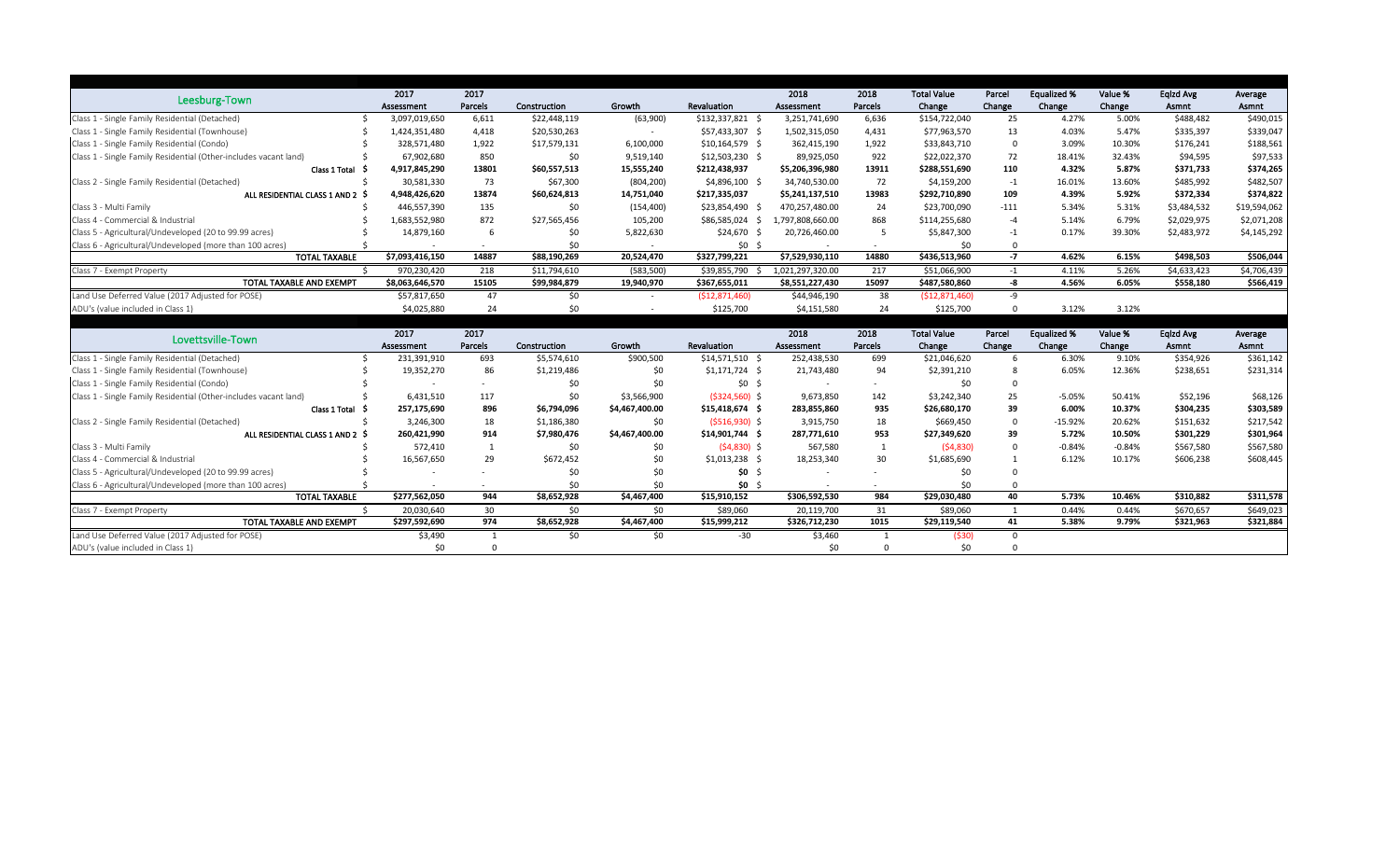|                                                                  | 2017            | 2017    |              |                |                    | 2018             | 2018    | <b>Total Value</b> | Parcel      | <b>Equalized %</b> | Value %  | Eqlzd Avg   | Average      |
|------------------------------------------------------------------|-----------------|---------|--------------|----------------|--------------------|------------------|---------|--------------------|-------------|--------------------|----------|-------------|--------------|
| Leesburg-Town                                                    | Assessment      | Parcels | Construction | Growth         | Revaluation        | Assessment       | Parcels | Change             | Change      | Change             | Change   | Asmnt       | Asmnt        |
| Class 1 - Single Family Residential (Detached)                   | 3,097,019,650   | 6,611   | \$22,448,119 | (63,900)       | \$132,337,821      | 3,251,741,690    | 6,636   | \$154,722,040      | 25          | 4.27%              | 5.00%    | \$488,482   | \$490,015    |
| Class 1 - Single Family Residential (Townhouse)                  | 1,424,351,480   | 4,418   | \$20,530,263 |                | \$57,433,307 \$    | 1,502,315,050    | 4,431   | \$77,963,570       | 13          | 4.03%              | 5.47%    | \$335,397   | \$339,047    |
| Class 1 - Single Family Residential (Condo)                      | 328,571,480     | 1,922   | \$17,579,131 | 6,100,000      | $$10,164,579$ \$   | 362,415,190      | 1,922   | \$33,843,710       | $\Omega$    | 3.09%              | 10.30%   | \$176,241   | \$188,561    |
| Class 1 - Single Family Residential (Other-includes vacant land) | 67,902,680      | 850     | \$0          | 9,519,140      | $$12,503,230$ \$   | 89,925,050       | 922     | \$22,022,370       | 72          | 18.41%             | 32.43%   | \$94,595    | \$97,533     |
| Class 1 Total                                                    | 4,917,845,290   | 13801   | \$60,557,513 | 15,555,240     | \$212,438,937      | \$5,206,396,980  | 13911   | \$288,551,690      | 110         | 4.32%              | 5.87%    | \$371,733   | \$374,265    |
| Class 2 - Single Family Residential (Detached)                   | 30,581,330      | 73      | \$67,300     | (804, 200)     | $$4,896,100$ \$    | 34,740,530.00    | 72      | \$4,159,200        | $-1$        | 16.01%             | 13.60%   | \$485,992   | \$482,507    |
| ALL RESIDENTIAL CLASS 1 AND 2 \$                                 | 4,948,426,620   | 13874   | \$60,624,813 | 14,751,040     | \$217,335,037      | \$5,241,137,510  | 13983   | \$292,710,890      | 109         | 4.39%              | 5.92%    | \$372,334   | \$374,822    |
| Class 3 - Multi Family                                           | 446,557,390     | 135     | \$0          | (154, 400)     | \$23,854,490       | 470,257,480.00   | 24      | \$23,700,090       | $-111$      | 5.34%              | 5.31%    | \$3,484,532 | \$19,594,062 |
| Class 4 - Commercial & Industrial                                | 1,683,552,980   | 872     | \$27,565,456 | 105,200        | \$86,585,024<br>-S | 1,797,808,660.00 | 868     | \$114,255,680      | -4          | 5.14%              | 6.79%    | \$2,029,975 | \$2,071,208  |
| Class 5 - Agricultural/Undeveloped (20 to 99.99 acres)           | 14,879,160      | b       | \$0          | 5,822,630      | \$24,670           | 20,726,460.00    | 5       | \$5,847,300        | $-1$        | 0.17%              | 39.30%   | \$2,483,972 | \$4,145,292  |
| Class 6 - Agricultural/Undeveloped (more than 100 acres)         |                 |         | \$0          |                | \$0\$              |                  |         | \$0                |             |                    |          |             |              |
| <b>TOTAL TAXABLE</b>                                             | \$7,093,416,150 | 14887   | \$88,190,269 | 20,524,470     | \$327,799,221      | \$7,529,930,110  | 14880   | \$436,513,960      | $-7$        | 4.62%              | 6.15%    | \$498,503   | \$506,044    |
| Class 7 - Exempt Property                                        | 970,230,420     | 218     | \$11,794,610 | (583, 500)     | \$39,855,790       | 1,021,297,320.00 | 217     | \$51,066,900       | $-1$        | 4.11%              | 5.26%    | \$4,633,423 | \$4,706,439  |
| TOTAL TAXABLE AND EXEMPT                                         | \$8,063,646,570 | 15105   | \$99,984,879 | 19,940,970     | \$367,655,011      | \$8,551,227,430  | 15097   | \$487,580,860      | -8          | 4.56%              | 6.05%    | \$558,180   | \$566,419    |
| Land Use Deferred Value (2017 Adjusted for POSE)                 | \$57,817,650    | 47      | \$0          |                | (\$12,871,460)     | \$44,946,190     | 38      | (\$12,871,460)     | -9          |                    |          |             |              |
| ADU's (value included in Class 1)                                | \$4,025,880     | 24      | \$0          |                | \$125,700          | \$4,151,580      | 24      | \$125,700          | $\Omega$    | 3.12%              | 3.12%    |             |              |
|                                                                  |                 |         |              |                |                    |                  |         |                    |             |                    |          |             |              |
| Lovettsville-Town                                                | 2017            | 2017    |              |                |                    | 2018             | 2018    | <b>Total Value</b> | Parcel      | <b>Equalized %</b> | Value %  | Eqlzd Avg   | Average      |
|                                                                  | Assessment      | Parcels | Construction | Growth         | Revaluation        | Assessment       | Parcels | Change             | Change      | Change             | Change   | Asmnt       | Asmnt        |
| Class 1 - Single Family Residential (Detached)                   | 231,391,910     | 693     | \$5,574,610  | \$900,500      | $$14,571,510$ \$   | 252,438,530      | 699     | \$21,046,620       | -6          | 6.30%              | 9.10%    | \$354,926   | \$361,142    |
| Class 1 - Single Family Residential (Townhouse)                  | 19,352,270      | 86      | \$1,219,486  | \$0            | $$1,171,724$ \$    | 21,743,480       | 94      | \$2,391,210        |             | 6.05%              | 12.36%   | \$238,651   | \$231,314    |
| Class 1 - Single Family Residential (Condo)                      |                 |         | \$0          | \$0            | \$0                |                  |         | \$0                | $\Omega$    |                    |          |             |              |
| Class 1 - Single Family Residential (Other-includes vacant land) | 6,431,510       | 117     | \$0          | \$3,566,900    | $(5324,560)$ \$    | 9,673,850        | 142     | \$3,242,340        | 25          | $-5.05%$           | 50.41%   | \$52,196    | \$68,126     |
| Class 1 Total                                                    | 257,175,690     | 896     | \$6,794,096  | \$4,467,400.00 | $$15,418,674$ \$   | 283,855,860      | 935     | \$26,680,170       | 39          | 6.00%              | 10.37%   | \$304,235   | \$303,589    |
| Class 2 - Single Family Residential (Detached)                   | 3,246,300       | 18      | \$1,186,380  | \$0            | $(5516,930)$ \$    | 3,915,750        | 18      | \$669,450          | $\mathbf 0$ | $-15.92%$          | 20.62%   | \$151,632   | \$217,542    |
| ALL RESIDENTIAL CLASS 1 AND 2 \$                                 | 260,421,990     | 914     | \$7,980,476  | \$4,467,400.00 | $$14,901,744$ \$   | 287,771,610      | 953     | \$27,349,620       | 39          | 5.72%              | 10.50%   | \$301,229   | \$301,964    |
| Class 3 - Multi Family                                           | 572,410         |         | \$0          | \$0            | $(54,830)$ \$      | 567,580          |         | (54,830)           | $\theta$    | $-0.84%$           | $-0.84%$ | \$567,580   | \$567,580    |
| Class 4 - Commercial & Industrial                                | 16,567,650      | 29      | \$672,452    | \$0            | $$1,013,238$ \$    | 18,253,340       | 30      | \$1,685,690        |             | 6.12%              | 10.17%   | \$606,238   | \$608,445    |
| Class 5 - Agricultural/Undeveloped (20 to 99.99 acres)           |                 |         |              | \$0            | \$0                |                  |         |                    |             |                    |          |             |              |
| Class 6 - Agricultural/Undeveloped (more than 100 acres)         |                 |         | \$0          | \$0            | \$0                |                  |         |                    |             |                    |          |             |              |
| <b>TOTAL TAXABLE</b>                                             | \$277,562,050   | 944     | \$8,652,928  | \$4,467,400    | \$15,910,152       | \$306,592,530    | 984     | \$29,030,480       | 40          | 5.73%              | 10.46%   | \$310,882   | \$311,578    |
| Class 7 - Exempt Property                                        | 20,030,640      | 30      | \$0          | \$0            | \$89,060           | 20,119,700       | 31      | \$89,060           |             | 0.44%              | 0.44%    | \$670,657   | \$649,023    |
| TOTAL TAXABLE AND EXEMPT                                         | \$297,592,690   | 974     | \$8,652,928  | \$4,467,400    | \$15,999,212       | \$326,712,230    | 1015    | \$29,119,540       | 41          | 5.38%              | 9.79%    | \$321,963   | \$321,884    |
| Land Use Deferred Value (2017 Adjusted for POSE)                 | \$3,490         |         | \$0          | \$0            | $-30$              | \$3,460          |         | $($ \$30)          | $\Omega$    |                    |          |             |              |
| ADU's (value included in Class 1)                                | \$0             |         |              |                |                    | \$0              |         | \$0                |             |                    |          |             |              |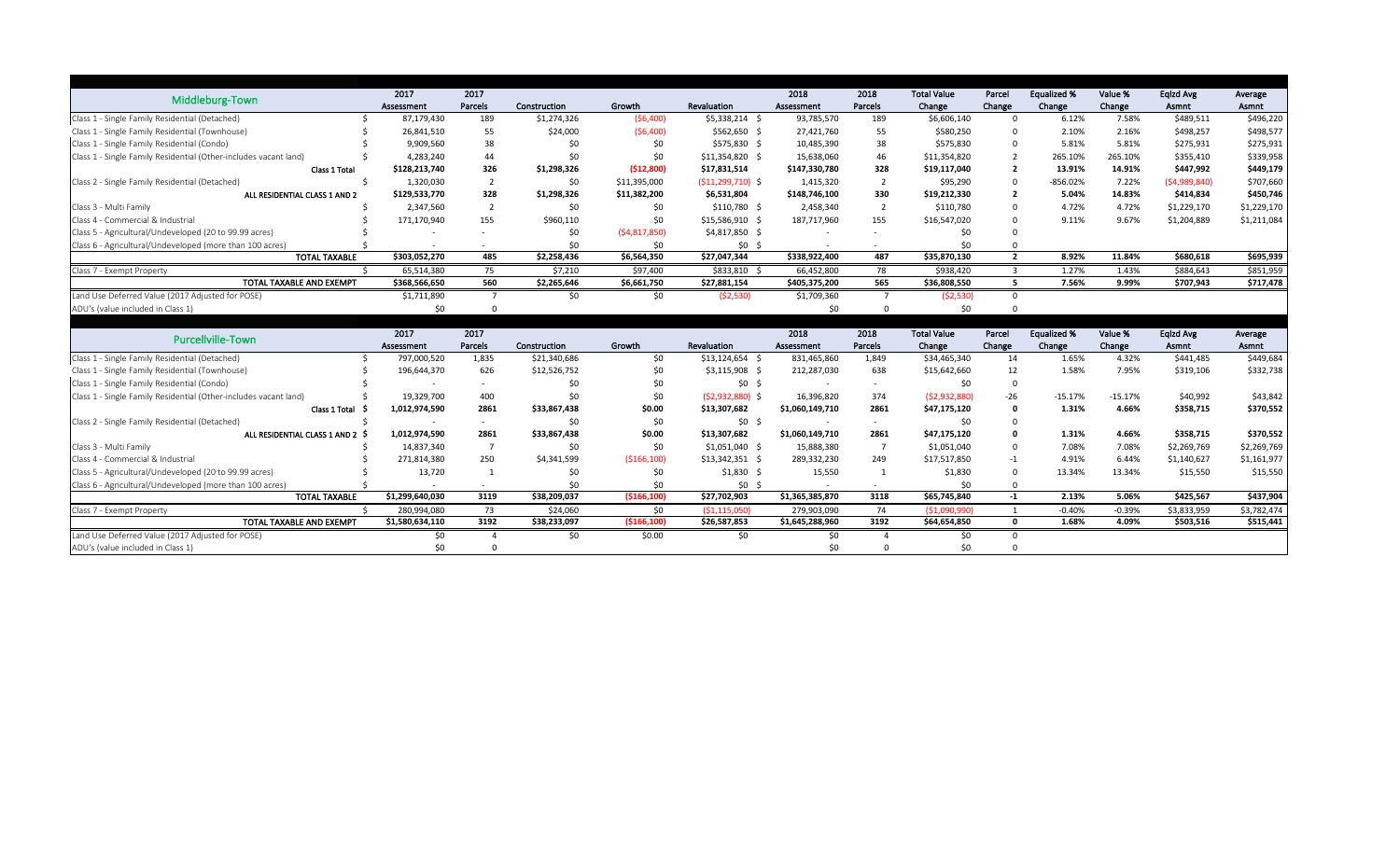| Middleburg-Town                                                  | 2017            | 2017                     |              |                |                      | 2018            | 2018           | <b>Total Value</b> | Parcel         | <b>Equalized %</b> | Value %   | Eqlzd Avg    | Average     |
|------------------------------------------------------------------|-----------------|--------------------------|--------------|----------------|----------------------|-----------------|----------------|--------------------|----------------|--------------------|-----------|--------------|-------------|
|                                                                  | Assessment      | Parcels                  | Construction | Growth         | Revaluation          | Assessment      | Parcels        | Change             | Change         | Change             | Change    | Asmnt        | Asmnt       |
| Class 1 - Single Family Residential (Detached)                   | 87,179,430      | 189                      | \$1,274,326  | (56,400)       | $$5,338,214$ \$      | 93,785,570      | 189            | \$6,606,140        | $\Omega$       | 6.12%              | 7.58%     | \$489,511    | \$496,220   |
| Class 1 - Single Family Residential (Townhouse)                  | 26,841,510      | 55                       | \$24,000     | (56,400)       | $$562,650$ \$        | 27,421,760      | 55             | \$580,250          |                | 2.10%              | 2.16%     | \$498,257    | \$498,577   |
| Class 1 - Single Family Residential (Condo)                      | 9,909,560       | 38                       | \$0          | \$0            | \$575,830 \$         | 10,485,390      | 38             | \$575,830          | $\Omega$       | 5.81%              | 5.81%     | \$275,931    | \$275,931   |
| Class 1 - Single Family Residential (Other-includes vacant land) | 4,283,240       | 44                       | \$0          | \$0            | $$11,354,820$ \$     | 15,638,060      | 46             | \$11,354,820       | 2              | 265.10%            | 265.10%   | \$355,410    | \$339,958   |
| Class 1 Total                                                    | \$128,213,740   | 326                      | \$1,298,326  | (\$12,800)     | \$17,831,514         | \$147,330,780   | 328            | \$19,117,040       | $\overline{2}$ | 13.91%             | 14.91%    | \$447,992    | \$449,179   |
| Class 2 - Single Family Residential (Detached)                   | 1,320,030       | $\overline{2}$           | \$0          | \$11,395,000   | $(511, 299, 710)$ \$ | 1,415,320       | $\overline{2}$ | \$95,290           | $\mathbf 0$    | $-856.02%$         | 7.22%     | (54,989,840) | \$707,660   |
| ALL RESIDENTIAL CLASS 1 AND 2                                    | \$129,533,770   | 328                      | \$1,298,326  | \$11,382,200   | \$6,531,804          | \$148,746,100   | 330            | \$19,212,330       | $\overline{2}$ | 5.04%              | 14.83%    | \$414,834    | \$450,746   |
| Class 3 - Multi Family                                           | 2,347,560       | $\overline{2}$           | \$0          | \$0            | $$110,780$ \$        | 2,458,340       | $\overline{2}$ | \$110,780          |                | 4.72%              | 4.72%     | \$1,229,170  | \$1,229,170 |
| Class 4 - Commercial & Industrial                                | 171,170,940     | 155                      | \$960,110    | \$0            | $$15,586,910$ \$     | 187,717,960     | 155            | \$16,547,020       | $\Omega$       | 9.11%              | 9.67%     | \$1,204,889  | \$1,211,084 |
| Class 5 - Agricultural/Undeveloped (20 to 99.99 acres)           |                 |                          | \$0          | (54, 817, 850) | $$4,817,850$ \$      |                 |                | SC.                |                |                    |           |              |             |
| Class 6 - Agricultural/Undeveloped (more than 100 acres)         |                 |                          | \$0          | \$0            | \$0\$                |                 |                | \$0                |                |                    |           |              |             |
| <b>TOTAL TAXABLE</b>                                             | \$303,052,270   | 485                      | \$2,258,436  | \$6,564,350    | \$27,047,344         | \$338,922,400   | 487            | \$35,870,130       | $\overline{2}$ | 8.92%              | 11.84%    | \$680,618    | \$695,939   |
| Class 7 - Exempt Property                                        | 65,514,380      | 75                       | \$7,210      | \$97,400       | $$833,810$ \$        | 66,452,800      | 78             | \$938,420          | -3             | 1.27%              | 1.43%     | \$884,643    | \$851,959   |
| TOTAL TAXABLE AND EXEMPT                                         | \$368,566,650   | 560                      | \$2,265,646  | \$6,661,750    | \$27,881,154         | \$405,375,200   | 565            | \$36,808,550       | 5 <sup>5</sup> | 7.56%              | 9.99%     | \$707,943    | \$717,478   |
| Land Use Deferred Value (2017 Adjusted for POSE)                 | \$1,711,890     |                          | \$0          | \$0            | (52,530)             | \$1,709,360     | - 7            | (52,530)           | $\Omega$       |                    |           |              |             |
| ADU's (value included in Class 1)                                | \$0             |                          |              |                |                      | \$0             |                | \$0                |                |                    |           |              |             |
|                                                                  |                 |                          |              |                |                      |                 |                |                    |                |                    |           |              |             |
| Purcellville-Town                                                | 2017            | 2017                     |              |                |                      | 2018            | 2018           | <b>Total Value</b> | Parcel         | <b>Equalized %</b> | Value %   | Eqlzd Avg    | Average     |
|                                                                  | Assessment      | Parcels                  | Construction | Growth         | Revaluation          | Assessment      | Parcels        | Change             | Change         | Change             | Change    | Asmnt        | Asmnt       |
| Class 1 - Single Family Residential (Detached)                   | 797,000,520     | 1,835                    | \$21,340,686 | \$0            | $$13,124,654$ \$     | 831,465,860     | 1,849          | \$34,465,340       | 14             | 1.65%              | 4.32%     | \$441,485    | \$449,684   |
| Class 1 - Single Family Residential (Townhouse)                  | 196,644,370     | 626                      | \$12,526,752 | \$0            | $$3,115,908$ \$      | 212,287,030     | 638            | \$15,642,660       | 12             | 1.58%              | 7.95%     | \$319,106    | \$332,738   |
| Class 1 - Single Family Residential (Condo)                      |                 | $\overline{\phantom{a}}$ | \$0          | \$0            | \$0                  |                 | $\sim$         | \$0                | $\overline{0}$ |                    |           |              |             |
| Class 1 - Single Family Residential (Other-includes vacant land) | 19,329,700      | 400                      | \$0          | \$0            | $(52,932,880)$ \$    | 16,396,820      | 374            | (52,932,880)       | $-26$          | $-15.17%$          | $-15.17%$ | \$40,992     | \$43,842    |
| Class 1 Total                                                    | 1,012,974,590   | 2861                     | \$33,867,438 | \$0.00         | \$13,307,682         | \$1,060,149,710 | 2861           | \$47,175,120       | $\mathbf{0}$   | 1.31%              | 4.66%     | \$358,715    | \$370,552   |
| Class 2 - Single Family Residential (Detached)                   |                 |                          | \$0          | \$0            | $$0 \$$              |                 |                | \$0                | $\Omega$       |                    |           |              |             |
| ALL RESIDENTIAL CLASS 1 AND 2 \$                                 | 1,012,974,590   | 2861                     | \$33,867,438 | \$0.00         | \$13,307,682         | \$1,060,149,710 | 2861           | \$47,175,120       |                | 1.31%              | 4.66%     | \$358,715    | \$370,552   |
| Class 3 - Multi Family                                           | 14,837,340      |                          | \$0          | \$0            | $$1,051,040$ \$      | 15,888,380      |                | \$1,051,040        |                | 7.08%              | 7.08%     | \$2,269,769  | \$2,269,769 |
| Class 4 - Commercial & Industrial                                | 271,814,380     | 250                      | \$4,341,599  | ( \$166, 100)  | $$13,342,351$ \$     | 289,332,230     | 249            | \$17,517,850       | -1             | 4.91%              | 6.44%     | \$1,140,627  | \$1,161,977 |
| Class 5 - Agricultural/Undeveloped (20 to 99.99 acres)           | 13,720          |                          |              | \$0            | $$1,830$ \$          | 15,550          |                | \$1,830            |                | 13.34%             | 13.34%    | \$15,550     | \$15,550    |
| Class 6 - Agricultural/Undeveloped (more than 100 acres)         |                 |                          | \$0          | \$0            | $$0$ \$              |                 |                | \$0                |                |                    |           |              |             |
| <b>TOTAL TAXABLE</b>                                             | \$1,299,640,030 | 3119                     | \$38,209,037 | (\$166,100)    | \$27,702,903         | \$1,365,385,870 | 3118           | \$65,745,840       | $-1$           | 2.13%              | 5.06%     | \$425,567    | \$437,904   |
| Class 7 - Exempt Property                                        | 280,994,080     | 73                       | \$24,060     | \$0            | ( \$1,115,050)       | 279,903,090     | 74             | (51,090,990)       |                | $-0.40%$           | $-0.39%$  | \$3,833,959  | \$3,782,474 |
|                                                                  |                 |                          |              |                |                      |                 |                |                    |                |                    |           |              |             |
| TOTAL TAXABLE AND EXEMPT                                         | \$1,580,634,110 | 3192                     | \$38,233,097 | (\$166,100)    | \$26,587,853         | \$1,645,288,960 | 3192           | \$64,654,850       | $\mathbf 0$    | 1.68%              | 4.09%     | \$503,516    | \$515,441   |
| Land Use Deferred Value (2017 Adjusted for POSE)                 | \$0             |                          | \$0          | \$0.00         | \$0                  | \$0             |                | \$0                |                |                    |           |              |             |